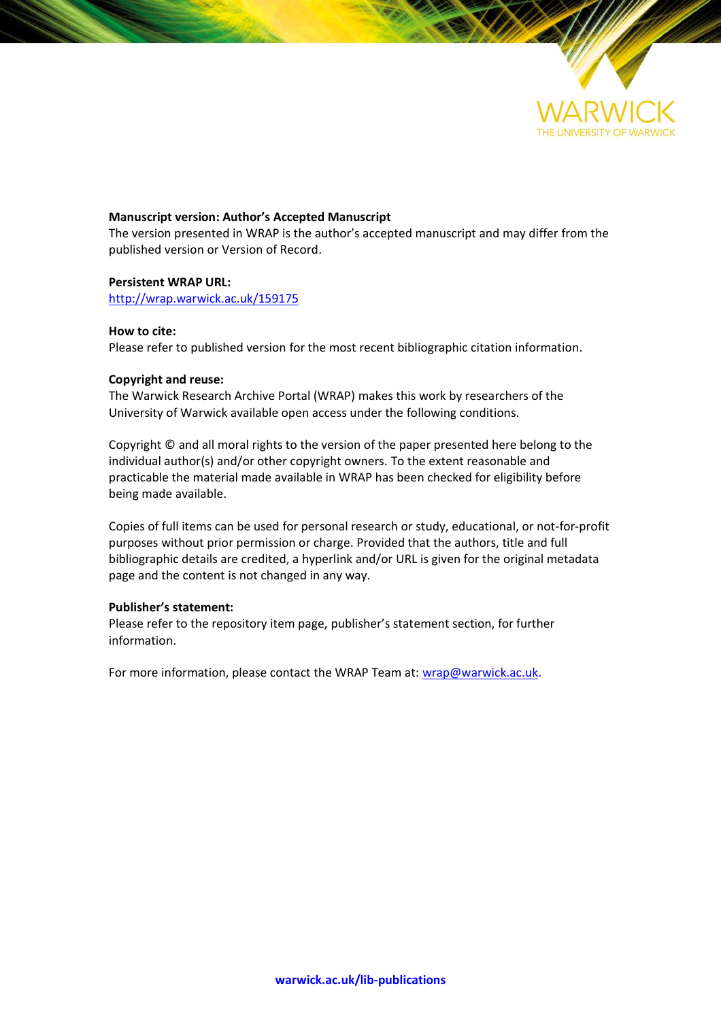

### **Manuscript version: Author's Accepted Manuscript**

The version presented in WRAP is the author's accepted manuscript and may differ from the published version or Version of Record.

### **Persistent WRAP URL:**

<http://wrap.warwick.ac.uk/159175>

### **How to cite:**

Please refer to published version for the most recent bibliographic citation information.

### **Copyright and reuse:**

The Warwick Research Archive Portal (WRAP) makes this work by researchers of the University of Warwick available open access under the following conditions.

Copyright © and all moral rights to the version of the paper presented here belong to the individual author(s) and/or other copyright owners. To the extent reasonable and practicable the material made available in WRAP has been checked for eligibility before being made available.

Copies of full items can be used for personal research or study, educational, or not-for-profit purposes without prior permission or charge. Provided that the authors, title and full bibliographic details are credited, a hyperlink and/or URL is given for the original metadata page and the content is not changed in any way.

### **Publisher's statement:**

Please refer to the repository item page, publisher's statement section, for further information.

For more information, please contact the WRAP Team at: [wrap@warwick.ac.uk.](mailto:wrap@warwick.ac.uk)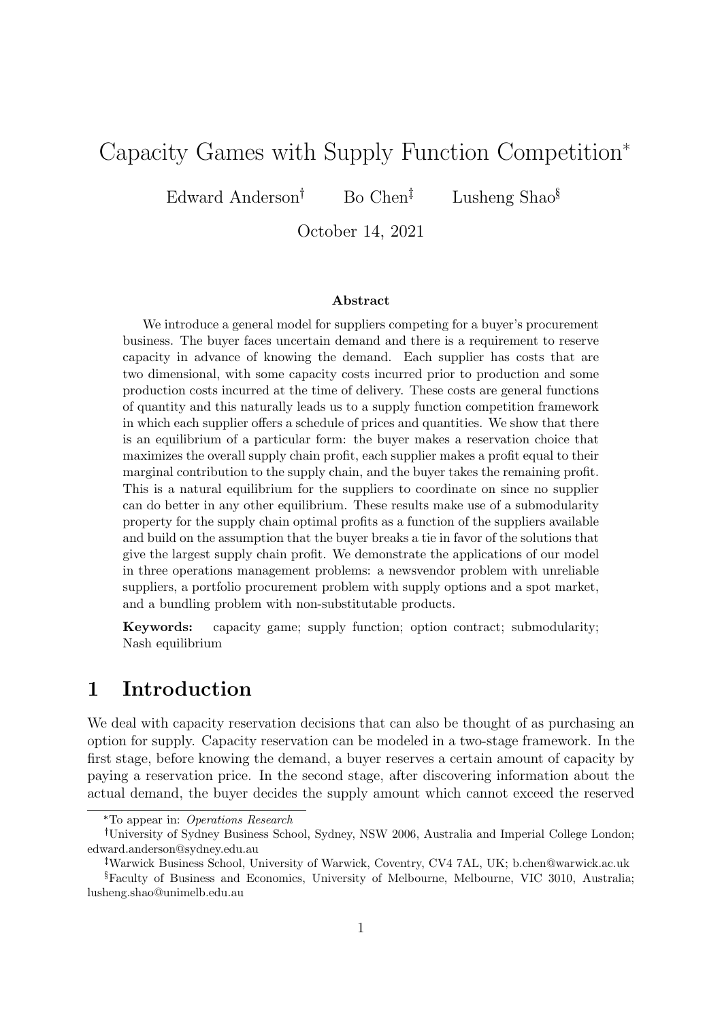# Capacity Games with Supply Function Competition\*

Edward Anderson<sup>†</sup> Bo Chen<sup> $\ddagger$ </sup> Lusheng Shao<sup>§</sup>

October 14, 2021

### Abstract

We introduce a general model for suppliers competing for a buyer's procurement business. The buyer faces uncertain demand and there is a requirement to reserve capacity in advance of knowing the demand. Each supplier has costs that are two dimensional, with some capacity costs incurred prior to production and some production costs incurred at the time of delivery. These costs are general functions of quantity and this naturally leads us to a supply function competition framework in which each supplier offers a schedule of prices and quantities. We show that there is an equilibrium of a particular form: the buyer makes a reservation choice that maximizes the overall supply chain profit, each supplier makes a profit equal to their marginal contribution to the supply chain, and the buyer takes the remaining profit. This is a natural equilibrium for the suppliers to coordinate on since no supplier can do better in any other equilibrium. These results make use of a submodularity property for the supply chain optimal profits as a function of the suppliers available and build on the assumption that the buyer breaks a tie in favor of the solutions that give the largest supply chain profit. We demonstrate the applications of our model in three operations management problems: a newsvendor problem with unreliable suppliers, a portfolio procurement problem with supply options and a spot market, and a bundling problem with non-substitutable products.

Keywords: capacity game; supply function; option contract; submodularity; Nash equilibrium

# 1 Introduction

We deal with capacity reservation decisions that can also be thought of as purchasing an option for supply. Capacity reservation can be modeled in a two-stage framework. In the first stage, before knowing the demand, a buyer reserves a certain amount of capacity by paying a reservation price. In the second stage, after discovering information about the actual demand, the buyer decides the supply amount which cannot exceed the reserved

<sup>\*</sup>To appear in: Operations Research

University of Sydney Business School, Sydney, NSW 2006, Australia and Imperial College London; edward.anderson@sydney.edu.au

Warwick Business School, University of Warwick, Coventry, CV4 7AL, UK; b.chen@warwick.ac.uk

<sup>§</sup>Faculty of Business and Economics, University of Melbourne, Melbourne, VIC 3010, Australia; lusheng.shao@unimelb.edu.au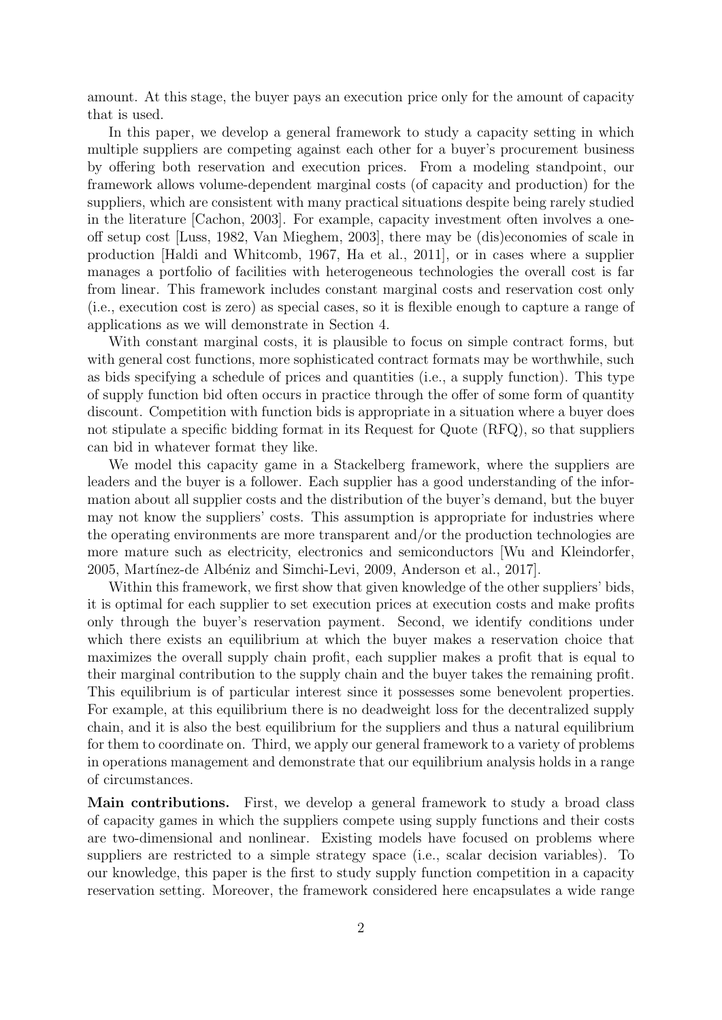amount. At this stage, the buyer pays an execution price only for the amount of capacity that is used.

In this paper, we develop a general framework to study a capacity setting in which multiple suppliers are competing against each other for a buyer's procurement business by offering both reservation and execution prices. From a modeling standpoint, our framework allows volume-dependent marginal costs (of capacity and production) for the suppliers, which are consistent with many practical situations despite being rarely studied in the literature [Cachon, 2003]. For example, capacity investment often involves a oneoff setup cost [Luss, 1982, Van Mieghem, 2003], there may be (dis)economies of scale in production [Haldi and Whitcomb, 1967, Ha et al., 2011], or in cases where a supplier manages a portfolio of facilities with heterogeneous technologies the overall cost is far from linear. This framework includes constant marginal costs and reservation cost only (i.e., execution cost is zero) as special cases, so it is flexible enough to capture a range of applications as we will demonstrate in Section 4.

With constant marginal costs, it is plausible to focus on simple contract forms, but with general cost functions, more sophisticated contract formats may be worthwhile, such as bids specifying a schedule of prices and quantities (i.e., a supply function). This type of supply function bid often occurs in practice through the offer of some form of quantity discount. Competition with function bids is appropriate in a situation where a buyer does not stipulate a specific bidding format in its Request for Quote (RFQ), so that suppliers can bid in whatever format they like.

We model this capacity game in a Stackelberg framework, where the suppliers are leaders and the buyer is a follower. Each supplier has a good understanding of the information about all supplier costs and the distribution of the buyer's demand, but the buyer may not know the suppliers' costs. This assumption is appropriate for industries where the operating environments are more transparent and/or the production technologies are more mature such as electricity, electronics and semiconductors [Wu and Kleindorfer, 2005, Martínez-de Albéniz and Simchi-Levi, 2009, Anderson et al., 2017.

Within this framework, we first show that given knowledge of the other suppliers' bids, it is optimal for each supplier to set execution prices at execution costs and make profits only through the buyer's reservation payment. Second, we identify conditions under which there exists an equilibrium at which the buyer makes a reservation choice that maximizes the overall supply chain profit, each supplier makes a profit that is equal to their marginal contribution to the supply chain and the buyer takes the remaining profit. This equilibrium is of particular interest since it possesses some benevolent properties. For example, at this equilibrium there is no deadweight loss for the decentralized supply chain, and it is also the best equilibrium for the suppliers and thus a natural equilibrium for them to coordinate on. Third, we apply our general framework to a variety of problems in operations management and demonstrate that our equilibrium analysis holds in a range of circumstances.

Main contributions. First, we develop a general framework to study a broad class of capacity games in which the suppliers compete using supply functions and their costs are two-dimensional and nonlinear. Existing models have focused on problems where suppliers are restricted to a simple strategy space (i.e., scalar decision variables). To our knowledge, this paper is the first to study supply function competition in a capacity reservation setting. Moreover, the framework considered here encapsulates a wide range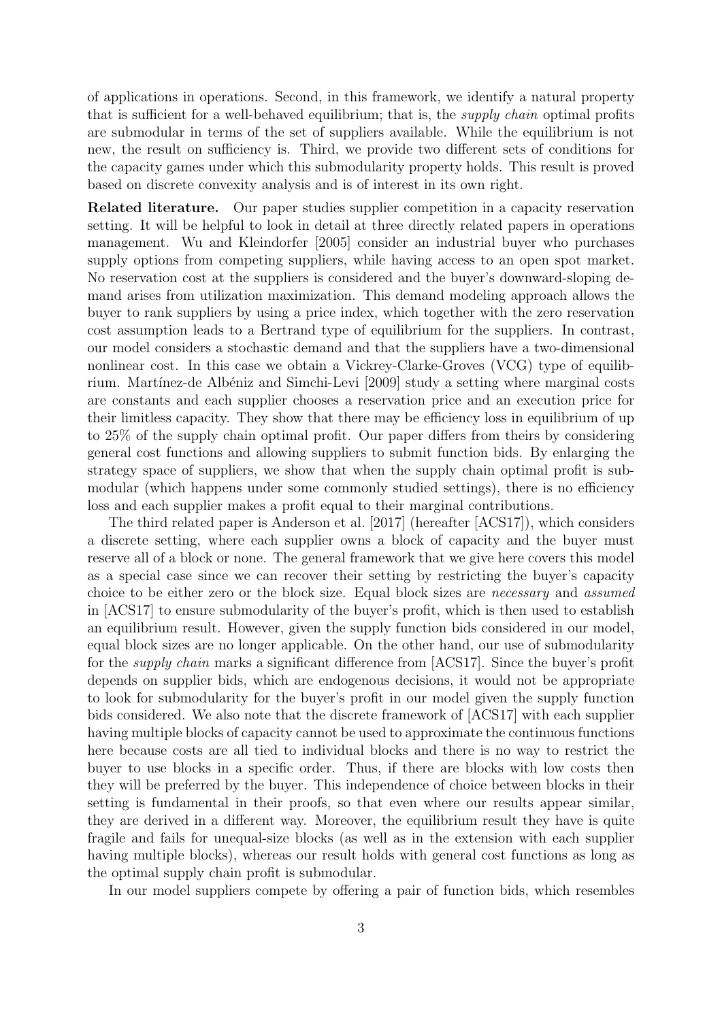of applications in operations. Second, in this framework, we identify a natural property that is sufficient for a well-behaved equilibrium; that is, the supply chain optimal profits are submodular in terms of the set of suppliers available. While the equilibrium is not new, the result on sufficiency is. Third, we provide two different sets of conditions for the capacity games under which this submodularity property holds. This result is proved based on discrete convexity analysis and is of interest in its own right.

Related literature. Our paper studies supplier competition in a capacity reservation setting. It will be helpful to look in detail at three directly related papers in operations management. Wu and Kleindorfer [2005] consider an industrial buyer who purchases supply options from competing suppliers, while having access to an open spot market. No reservation cost at the suppliers is considered and the buyer's downward-sloping demand arises from utilization maximization. This demand modeling approach allows the buyer to rank suppliers by using a price index, which together with the zero reservation cost assumption leads to a Bertrand type of equilibrium for the suppliers. In contrast, our model considers a stochastic demand and that the suppliers have a two-dimensional nonlinear cost. In this case we obtain a Vickrey-Clarke-Groves (VCG) type of equilibrium. Martínez-de Albéniz and Simchi-Levi [2009] study a setting where marginal costs are constants and each supplier chooses a reservation price and an execution price for their limitless capacity. They show that there may be efficiency loss in equilibrium of up to 25% of the supply chain optimal profit. Our paper differs from theirs by considering general cost functions and allowing suppliers to submit function bids. By enlarging the strategy space of suppliers, we show that when the supply chain optimal profit is submodular (which happens under some commonly studied settings), there is no efficiency loss and each supplier makes a profit equal to their marginal contributions.

The third related paper is Anderson et al. [2017] (hereafter [ACS17]), which considers a discrete setting, where each supplier owns a block of capacity and the buyer must reserve all of a block or none. The general framework that we give here covers this model as a special case since we can recover their setting by restricting the buyer's capacity choice to be either zero or the block size. Equal block sizes are necessary and assumed in [ACS17] to ensure submodularity of the buyer's profit, which is then used to establish an equilibrium result. However, given the supply function bids considered in our model, equal block sizes are no longer applicable. On the other hand, our use of submodularity for the supply chain marks a significant difference from [ACS17]. Since the buyer's profit depends on supplier bids, which are endogenous decisions, it would not be appropriate to look for submodularity for the buyer's profit in our model given the supply function bids considered. We also note that the discrete framework of [ACS17] with each supplier having multiple blocks of capacity cannot be used to approximate the continuous functions here because costs are all tied to individual blocks and there is no way to restrict the buyer to use blocks in a specific order. Thus, if there are blocks with low costs then they will be preferred by the buyer. This independence of choice between blocks in their setting is fundamental in their proofs, so that even where our results appear similar, they are derived in a different way. Moreover, the equilibrium result they have is quite fragile and fails for unequal-size blocks (as well as in the extension with each supplier having multiple blocks), whereas our result holds with general cost functions as long as the optimal supply chain profit is submodular.

In our model suppliers compete by offering a pair of function bids, which resembles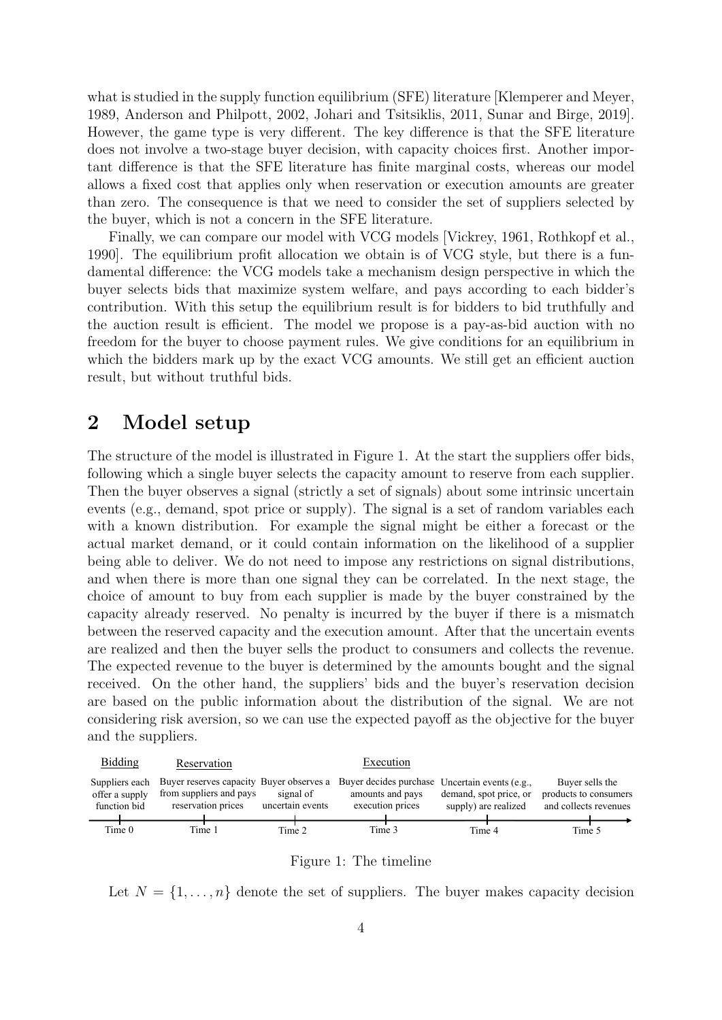what is studied in the supply function equilibrium (SFE) literature [Klemperer and Meyer, 1989, Anderson and Philpott, 2002, Johari and Tsitsiklis, 2011, Sunar and Birge, 2019]. However, the game type is very different. The key difference is that the SFE literature does not involve a two-stage buyer decision, with capacity choices first. Another important difference is that the SFE literature has finite marginal costs, whereas our model allows a fixed cost that applies only when reservation or execution amounts are greater than zero. The consequence is that we need to consider the set of suppliers selected by the buyer, which is not a concern in the SFE literature.

Finally, we can compare our model with VCG models [Vickrey, 1961, Rothkopf et al., 1990]. The equilibrium profit allocation we obtain is of VCG style, but there is a fundamental difference: the VCG models take a mechanism design perspective in which the buyer selects bids that maximize system welfare, and pays according to each bidder's contribution. With this setup the equilibrium result is for bidders to bid truthfully and the auction result is efficient. The model we propose is a pay-as-bid auction with no freedom for the buyer to choose payment rules. We give conditions for an equilibrium in which the bidders mark up by the exact VCG amounts. We still get an efficient auction result, but without truthful bids.

# 2 Model setup

The structure of the model is illustrated in Figure 1. At the start the suppliers offer bids, following which a single buyer selects the capacity amount to reserve from each supplier. Then the buyer observes a signal (strictly a set of signals) about some intrinsic uncertain events (e.g., demand, spot price or supply). The signal is a set of random variables each with a known distribution. For example the signal might be either a forecast or the actual market demand, or it could contain information on the likelihood of a supplier being able to deliver. We do not need to impose any restrictions on signal distributions, and when there is more than one signal they can be correlated. In the next stage, the choice of amount to buy from each supplier is made by the buyer constrained by the capacity already reserved. No penalty is incurred by the buyer if there is a mismatch between the reserved capacity and the execution amount. After that the uncertain events are realized and then the buyer sells the product to consumers and collects the revenue. The expected revenue to the buyer is determined by the amounts bought and the signal received. On the other hand, the suppliers' bids and the buyer's reservation decision are based on the public information about the distribution of the signal. We are not considering risk aversion, so we can use the expected payoff as the objective for the buyer and the suppliers.



Figure 1: The timeline

Let  $N = \{1, \ldots, n\}$  denote the set of suppliers. The buyer makes capacity decision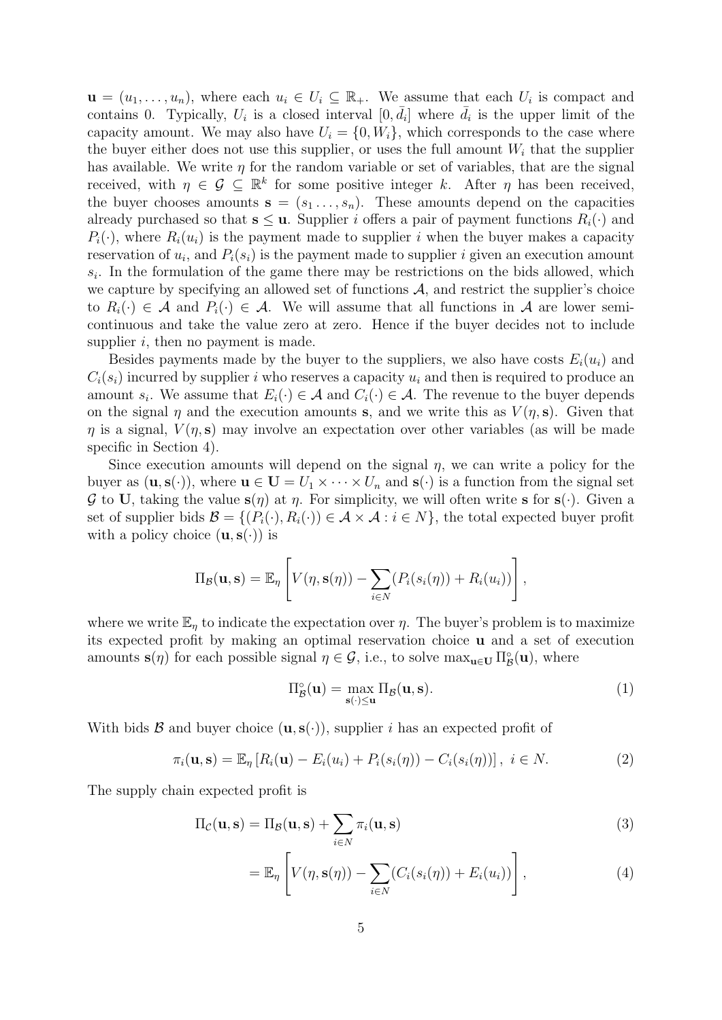$\mathbf{u} = (u_1, \dots, u_n)$ , where each  $u_i \in U_i \subseteq \mathbb{R}_+$ . We assume that each  $U_i$  is compact and contains 0. Typically,  $U_i$  is a closed interval  $[0, \bar{d}_i]$  where  $\bar{d}_i$  is the upper limit of the capacity amount. We may also have  $U_i = \{0, W_i\}$ , which corresponds to the case where the buyer either does not use this supplier, or uses the full amount  $W_i$  that the supplier has available. We write  $\eta$  for the random variable or set of variables, that are the signal received, with  $\eta \in \mathcal{G} \subseteq \mathbb{R}^k$  for some positive integer k. After  $\eta$  has been received, the buyer chooses amounts  $s = (s_1, \ldots, s_n)$ . These amounts depend on the capacities already purchased so that  $s \leq u$ . Supplier *i* offers a pair of payment functions  $R_i(\cdot)$  and  $P_i(\cdot)$ , where  $R_i(u_i)$  is the payment made to supplier i when the buyer makes a capacity reservation of  $u_i$ , and  $P_i(s_i)$  is the payment made to supplier i given an execution amount  $s_i$ . In the formulation of the game there may be restrictions on the bids allowed, which we capture by specifying an allowed set of functions  $A$ , and restrict the supplier's choice to  $R_i(\cdot) \in \mathcal{A}$  and  $P_i(\cdot) \in \mathcal{A}$ . We will assume that all functions in  $\mathcal{A}$  are lower semicontinuous and take the value zero at zero. Hence if the buyer decides not to include supplier  $i$ , then no payment is made.

Besides payments made by the buyer to the suppliers, we also have costs  $E_i(u_i)$  and  $C_i(s_i)$  incurred by supplier i who reserves a capacity  $u_i$  and then is required to produce an amount  $s_i$ . We assume that  $E_i(\cdot) \in \mathcal{A}$  and  $C_i(\cdot) \in \mathcal{A}$ . The revenue to the buyer depends on the signal  $\eta$  and the execution amounts s, and we write this as  $V(\eta, s)$ . Given that  $\eta$  is a signal,  $V(\eta, s)$  may involve an expectation over other variables (as will be made specific in Section 4).

Since execution amounts will depend on the signal  $\eta$ , we can write a policy for the buyer as  $(\mathbf{u}, \mathbf{s}(\cdot))$ , where  $\mathbf{u} \in \mathbf{U} = U_1 \times \cdots \times U_n$  and  $\mathbf{s}(\cdot)$  is a function from the signal set G to U, taking the value  $s(\eta)$  at  $\eta$ . For simplicity, we will often write s for  $s(\cdot)$ . Given a set of supplier bids  $\mathcal{B} = \{(P_i(\cdot), R_i(\cdot)) \in \mathcal{A} \times \mathcal{A} : i \in N\}$ , the total expected buyer profit with a policy choice  $(\mathbf{u}, \mathbf{s}(\cdot))$  is

$$
\Pi_{\mathcal{B}}(\mathbf{u}, \mathbf{s}) = \mathbb{E}_{\eta} \left[ V(\eta, \mathbf{s}(\eta)) - \sum_{i \in N} (P_i(s_i(\eta)) + R_i(u_i)) \right],
$$

where we write  $\mathbb{E}_n$  to indicate the expectation over  $\eta$ . The buyer's problem is to maximize its expected profit by making an optimal reservation choice u and a set of execution amounts  $\mathbf{s}(\eta)$  for each possible signal  $\eta \in \mathcal{G}$ , i.e., to solve  $\max_{\mathbf{u} \in \mathbf{U}} \Pi^{\circ}_{\mathcal{B}}(\mathbf{u})$ , where

$$
\Pi_{\mathcal{B}}^{\circ}(\mathbf{u}) = \max_{\mathbf{s}(\cdot) \le \mathbf{u}} \Pi_{\mathcal{B}}(\mathbf{u}, \mathbf{s}).\tag{1}
$$

With bids  $\mathcal B$  and buyer choice  $(\mathbf u, \mathbf s(\cdot))$ , supplier i has an expected profit of

$$
\pi_i(\mathbf{u}, \mathbf{s}) = \mathbb{E}_{\eta} \left[ R_i(\mathbf{u}) - E_i(u_i) + P_i(s_i(\eta)) - C_i(s_i(\eta)) \right], \ i \in N. \tag{2}
$$

The supply chain expected profit is

$$
\Pi_{\mathcal{C}}(\mathbf{u}, \mathbf{s}) = \Pi_{\mathcal{B}}(\mathbf{u}, \mathbf{s}) + \sum_{i \in N} \pi_i(\mathbf{u}, \mathbf{s})
$$
\n(3)

$$
= \mathbb{E}_{\eta} \left[ V(\eta, \mathbf{s}(\eta)) - \sum_{i \in N} (C_i(s_i(\eta)) + E_i(u_i)) \right], \tag{4}
$$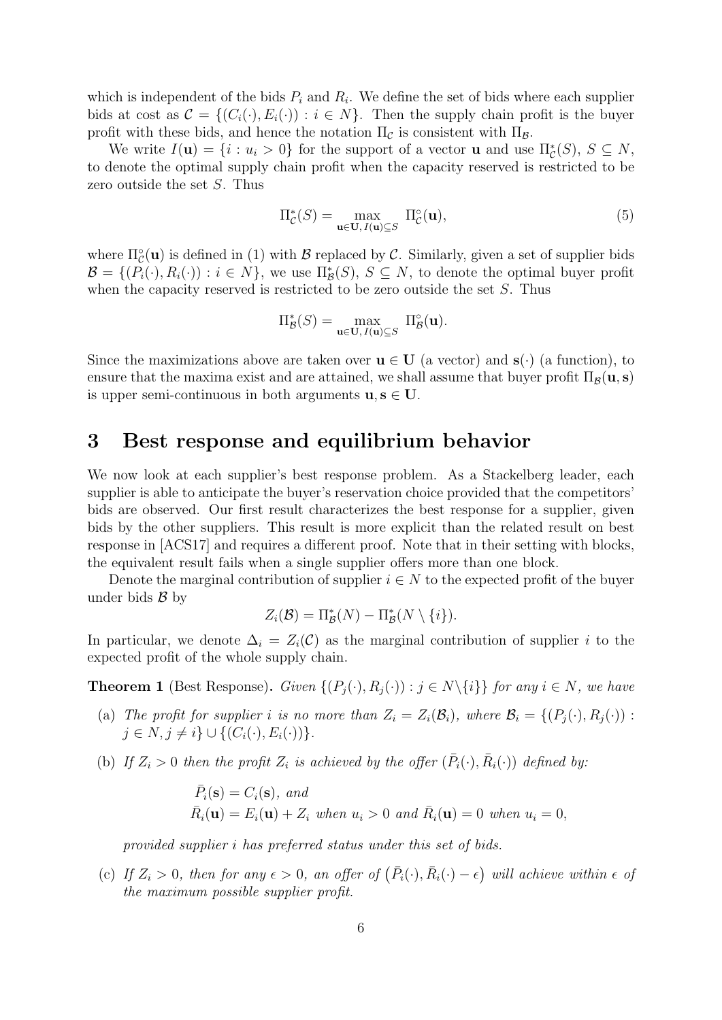which is independent of the bids  $P_i$  and  $R_i$ . We define the set of bids where each supplier bids at cost as  $\mathcal{C} = \{(C_i(\cdot), E_i(\cdot)) : i \in N\}$ . Then the supply chain profit is the buyer profit with these bids, and hence the notation  $\Pi_{\mathcal{C}}$  is consistent with  $\Pi_{\mathcal{B}}$ .

We write  $I(\mathbf{u}) = \{i : u_i > 0\}$  for the support of a vector **u** and use  $\Pi_{\mathcal{C}}^*(S)$ ,  $S \subseteq N$ , to denote the optimal supply chain profit when the capacity reserved is restricted to be zero outside the set S. Thus

$$
\Pi_{\mathcal{C}}^*(S) = \max_{\mathbf{u} \in \mathbf{U}, I(\mathbf{u}) \subseteq S} \ \Pi_{\mathcal{C}}^{\circ}(\mathbf{u}),\tag{5}
$$

where  $\Pi_{\mathcal{C}}^{\circ}(\mathbf{u})$  is defined in (1) with  $\mathcal{B}$  replaced by  $\mathcal{C}$ . Similarly, given a set of supplier bids  $\mathcal{B} = \{ (P_i(\cdot), R_i(\cdot)) : i \in N \},$  we use  $\prod_{\mathcal{B}}^* (S), S \subseteq N$ , to denote the optimal buyer profit when the capacity reserved is restricted to be zero outside the set  $S$ . Thus

$$
\Pi^*_{\mathcal{B}}(S) = \max_{\mathbf{u} \in \mathbf{U}, I(\mathbf{u}) \subseteq S} \ \Pi^{\circ}_{\mathcal{B}}(\mathbf{u}).
$$

Since the maximizations above are taken over  $\mathbf{u} \in \mathbf{U}$  (a vector) and  $\mathbf{s}(\cdot)$  (a function), to ensure that the maxima exist and are attained, we shall assume that buyer profit  $\Pi_B(\mathbf{u}, \mathbf{s})$ is upper semi-continuous in both arguments  $u, s \in U$ .

# 3 Best response and equilibrium behavior

We now look at each supplier's best response problem. As a Stackelberg leader, each supplier is able to anticipate the buyer's reservation choice provided that the competitors' bids are observed. Our first result characterizes the best response for a supplier, given bids by the other suppliers. This result is more explicit than the related result on best response in [ACS17] and requires a different proof. Note that in their setting with blocks, the equivalent result fails when a single supplier offers more than one block.

Denote the marginal contribution of supplier  $i \in N$  to the expected profit of the buyer under bids  $\beta$  by

$$
Z_i(\mathcal{B}) = \Pi_{\mathcal{B}}^*(N) - \Pi_{\mathcal{B}}^*(N \setminus \{i\}).
$$

In particular, we denote  $\Delta_i = Z_i(\mathcal{C})$  as the marginal contribution of supplier i to the expected profit of the whole supply chain.

**Theorem 1** (Best Response). Given  $\{(P_i(\cdot), R_i(\cdot)) : j \in N \setminus \{i\}\}\)$  for any  $i \in N$ , we have

- (a) The profit for supplier i is no more than  $Z_i = Z_i(\mathcal{B}_i)$ , where  $\mathcal{B}_i = \{ (P_i(\cdot), R_i(\cdot)) :$  $j \in N, j \neq i$   $\cup$  { $(C_i(\cdot), E_i(\cdot))$  }.
- (b) If  $Z_i > 0$  then the profit  $Z_i$  is achieved by the offer  $(\bar{P}_i(\cdot), \bar{R}_i(\cdot))$  defined by:

$$
\bar{P}_i(\mathbf{s}) = C_i(\mathbf{s}), \text{ and}
$$
  
\n
$$
\bar{R}_i(\mathbf{u}) = E_i(\mathbf{u}) + Z_i \text{ when } u_i > 0 \text{ and } \bar{R}_i(\mathbf{u}) = 0 \text{ when } u_i = 0,
$$

provided supplier i has preferred status under this set of bids.

(c) If  $Z_i > 0$ , then for any  $\epsilon > 0$ , an offer of  $(\bar{P}_i(\cdot), \bar{R}_i(\cdot) - \epsilon)$  will achieve within  $\epsilon$  of the maximum possible supplier profit.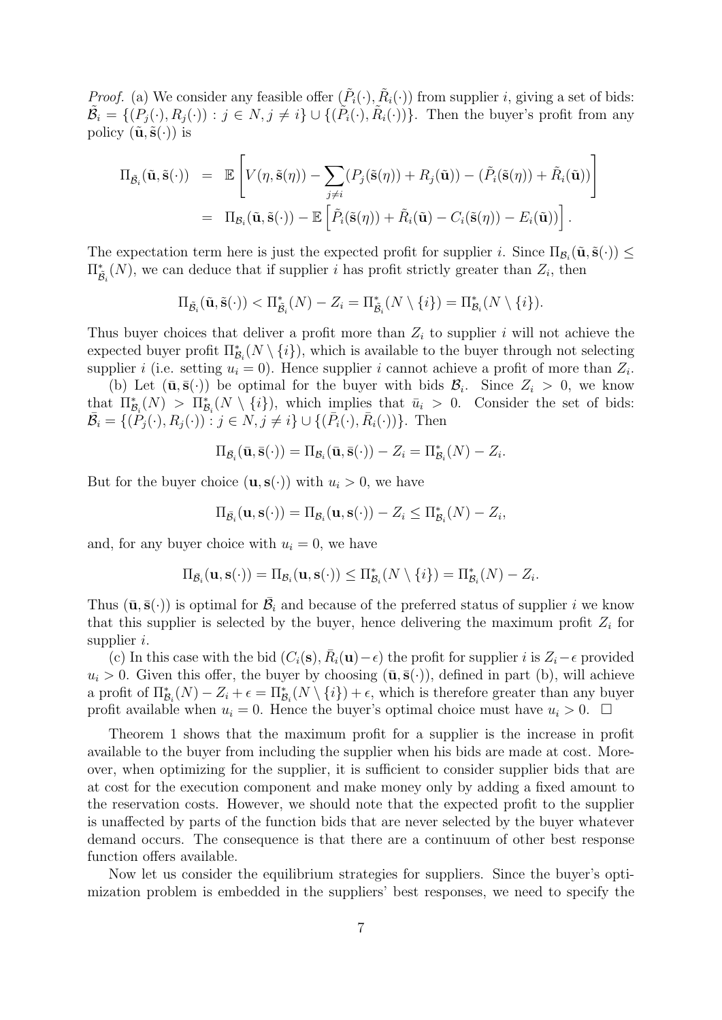*Proof.* (a) We consider any feasible offer  $(\tilde{P}_i(\cdot), \tilde{R}_i(\cdot))$  from supplier *i*, giving a set of bids:  $\tilde{\mathcal{B}}_i = \{ (P_j(\cdot), R_j(\cdot)) : j \in N, j \neq i \} \cup \{ (\tilde{P}_i(\cdot), \tilde{R}_i(\cdot)) \}.$  Then the buyer's profit from any policy  $(\tilde{\mathbf{u}}, \tilde{\mathbf{s}}(\cdot))$  is

$$
\Pi_{\tilde{B}_{i}}(\tilde{\mathbf{u}}, \tilde{\mathbf{s}}(\cdot)) = \mathbb{E}\left[V(\eta, \tilde{\mathbf{s}}(\eta)) - \sum_{j \neq i} (P_{j}(\tilde{\mathbf{s}}(\eta)) + R_{j}(\tilde{\mathbf{u}})) - (\tilde{P}_{i}(\tilde{\mathbf{s}}(\eta)) + \tilde{R}_{i}(\tilde{\mathbf{u}}))\right]
$$
  
\n
$$
= \Pi_{\mathcal{B}_{i}}(\tilde{\mathbf{u}}, \tilde{\mathbf{s}}(\cdot)) - \mathbb{E}\left[\tilde{P}_{i}(\tilde{\mathbf{s}}(\eta)) + \tilde{R}_{i}(\tilde{\mathbf{u}}) - C_{i}(\tilde{\mathbf{s}}(\eta)) - E_{i}(\tilde{\mathbf{u}}))\right].
$$

The expectation term here is just the expected profit for supplier i. Since  $\Pi_{\mathcal{B}_i}(\tilde{\mathbf{u}}, \tilde{\mathbf{s}}(\cdot)) \leq$  $\Pi_{\tilde{\mathcal{B}}_i}^*(N)$ , we can deduce that if supplier *i* has profit strictly greater than  $Z_i$ , then

$$
\Pi_{\tilde{\mathcal{B}}_i}(\tilde{\mathbf{u}}, \tilde{\mathbf{s}}(\cdot)) < \Pi_{\tilde{\mathcal{B}}_i}^*(N) - Z_i = \Pi_{\tilde{\mathcal{B}}_i}^*(N \setminus \{i\}) = \Pi_{\mathcal{B}_i}^*(N \setminus \{i\}).
$$

Thus buyer choices that deliver a profit more than  $Z_i$  to supplier i will not achieve the expected buyer profit  $\Pi_{\mathcal{B}_i}^*(N \setminus \{i\})$ , which is available to the buyer through not selecting supplier i (i.e. setting  $u_i = 0$ ). Hence supplier i cannot achieve a profit of more than  $Z_i$ .

(b) Let  $(\bar{\mathbf{u}}, \bar{\mathbf{s}}(\cdot))$  be optimal for the buyer with bids  $\mathcal{B}_i$ . Since  $Z_i > 0$ , we know that  $\Pi_{\mathcal{B}_i}^*(N) > \Pi_{\mathcal{B}_i}^*(N \setminus \{i\}),$  which implies that  $\bar{u}_i > 0$ . Consider the set of bids:  $\overline{\mathcal{B}}_i = \{(\overline{P}_j(\cdot), R_j(\cdot)) : j \in N, j \neq i\} \cup \{(\overline{P}_i(\cdot), \overline{R}_i(\cdot))\}.$  Then

$$
\Pi_{\bar{\mathcal{B}}_i}(\bar{\mathbf{u}},\bar{\mathbf{s}}(\cdot)) = \Pi_{\mathcal{B}_i}(\bar{\mathbf{u}},\bar{\mathbf{s}}(\cdot)) - Z_i = \Pi_{\mathcal{B}_i}^*(N) - Z_i.
$$

But for the buyer choice  $(\mathbf{u}, \mathbf{s}(\cdot))$  with  $u_i > 0$ , we have

$$
\Pi_{\bar{\mathcal{B}}_i}(\mathbf{u},\mathbf{s}(\cdot)) = \Pi_{\mathcal{B}_i}(\mathbf{u},\mathbf{s}(\cdot)) - Z_i \leq \Pi_{\mathcal{B}_i}^*(N) - Z_i,
$$

and, for any buyer choice with  $u_i = 0$ , we have

$$
\Pi_{\bar{\mathcal{B}}_i}(\mathbf{u},\mathbf{s}(\cdot)) = \Pi_{\mathcal{B}_i}(\mathbf{u},\mathbf{s}(\cdot)) \leq \Pi_{\mathcal{B}_i}^*(N \setminus \{i\}) = \Pi_{\mathcal{B}_i}^*(N) - Z_i.
$$

Thus  $(\bar{\mathbf{u}}, \bar{\mathbf{s}}(\cdot))$  is optimal for  $\bar{\mathcal{B}}_i$  and because of the preferred status of supplier i we know that this supplier is selected by the buyer, hence delivering the maximum profit  $Z_i$  for supplier *i*.

(c) In this case with the bid  $(C_i(\mathbf{s}), \bar{R}_i(\mathbf{u}) - \epsilon)$  the profit for supplier i is  $Z_i - \epsilon$  provided  $u_i > 0$ . Given this offer, the buyer by choosing  $(\bar{\mathbf{u}}, \bar{\mathbf{s}}(\cdot))$ , defined in part (b), will achieve a profit of  $\Pi_{\mathcal{B}_i}^*(N) - Z_i + \epsilon = \Pi_{\mathcal{B}_i}^*(N \setminus \{i\}) + \epsilon$ , which is therefore greater than any buyer profit available when  $u_i = 0$ . Hence the buyer's optimal choice must have  $u_i > 0$ .  $\Box$ 

Theorem 1 shows that the maximum profit for a supplier is the increase in profit available to the buyer from including the supplier when his bids are made at cost. Moreover, when optimizing for the supplier, it is sufficient to consider supplier bids that are at cost for the execution component and make money only by adding a fixed amount to the reservation costs. However, we should note that the expected profit to the supplier is unaffected by parts of the function bids that are never selected by the buyer whatever demand occurs. The consequence is that there are a continuum of other best response function offers available.

Now let us consider the equilibrium strategies for suppliers. Since the buyer's optimization problem is embedded in the suppliers' best responses, we need to specify the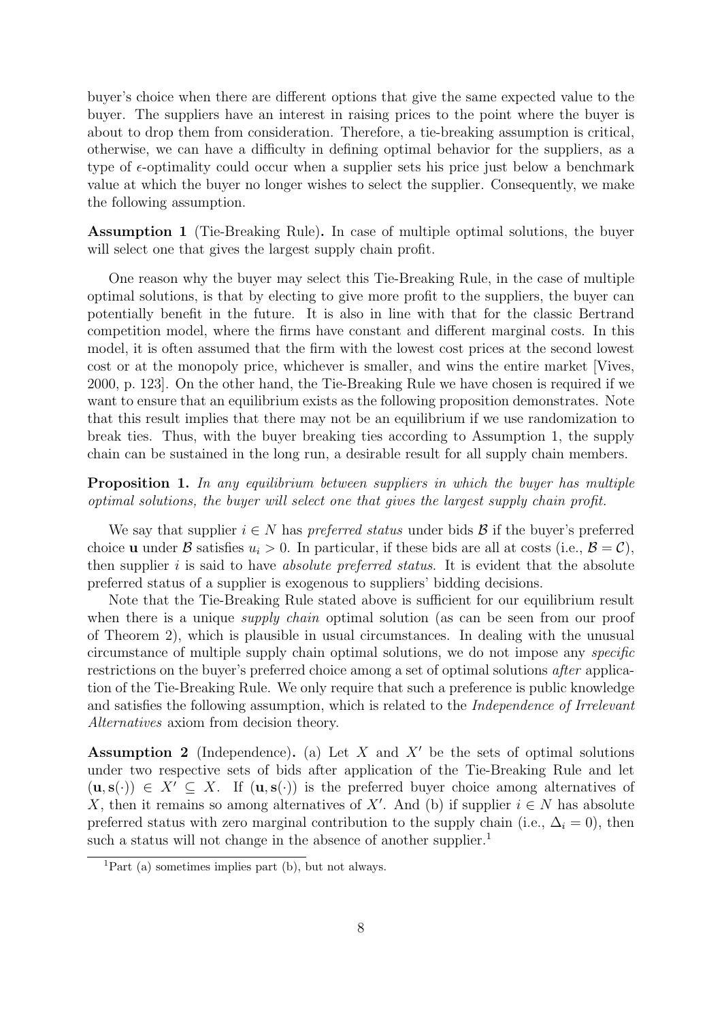buyer's choice when there are different options that give the same expected value to the buyer. The suppliers have an interest in raising prices to the point where the buyer is about to drop them from consideration. Therefore, a tie-breaking assumption is critical, otherwise, we can have a difficulty in defining optimal behavior for the suppliers, as a type of  $\epsilon$ -optimality could occur when a supplier sets his price just below a benchmark value at which the buyer no longer wishes to select the supplier. Consequently, we make the following assumption.

Assumption 1 (Tie-Breaking Rule). In case of multiple optimal solutions, the buyer will select one that gives the largest supply chain profit.

One reason why the buyer may select this Tie-Breaking Rule, in the case of multiple optimal solutions, is that by electing to give more profit to the suppliers, the buyer can potentially benefit in the future. It is also in line with that for the classic Bertrand competition model, where the firms have constant and different marginal costs. In this model, it is often assumed that the firm with the lowest cost prices at the second lowest cost or at the monopoly price, whichever is smaller, and wins the entire market [Vives, 2000, p. 123]. On the other hand, the Tie-Breaking Rule we have chosen is required if we want to ensure that an equilibrium exists as the following proposition demonstrates. Note that this result implies that there may not be an equilibrium if we use randomization to break ties. Thus, with the buyer breaking ties according to Assumption 1, the supply chain can be sustained in the long run, a desirable result for all supply chain members.

Proposition 1. In any equilibrium between suppliers in which the buyer has multiple optimal solutions, the buyer will select one that gives the largest supply chain profit.

We say that supplier  $i \in N$  has *preferred status* under bids  $\mathcal{B}$  if the buyer's preferred choice **u** under B satisfies  $u_i > 0$ . In particular, if these bids are all at costs (i.e.,  $B = C$ ), then supplier  $i$  is said to have *absolute preferred status*. It is evident that the absolute preferred status of a supplier is exogenous to suppliers' bidding decisions.

Note that the Tie-Breaking Rule stated above is sufficient for our equilibrium result when there is a unique *supply chain* optimal solution (as can be seen from our proof of Theorem 2), which is plausible in usual circumstances. In dealing with the unusual circumstance of multiple supply chain optimal solutions, we do not impose any specific restrictions on the buyer's preferred choice among a set of optimal solutions after application of the Tie-Breaking Rule. We only require that such a preference is public knowledge and satisfies the following assumption, which is related to the Independence of Irrelevant Alternatives axiom from decision theory.

Assumption 2 (Independence). (a) Let  $X$  and  $X'$  be the sets of optimal solutions under two respective sets of bids after application of the Tie-Breaking Rule and let  $(u, s(\cdot)) \in X' \subseteq X$ . If  $(u, s(\cdot))$  is the preferred buyer choice among alternatives of X, then it remains so among alternatives of X'. And (b) if supplier  $i \in N$  has absolute preferred status with zero marginal contribution to the supply chain (i.e.,  $\Delta_i = 0$ ), then such a status will not change in the absence of another supplier.<sup>1</sup>

<sup>&</sup>lt;sup>1</sup>Part (a) sometimes implies part (b), but not always.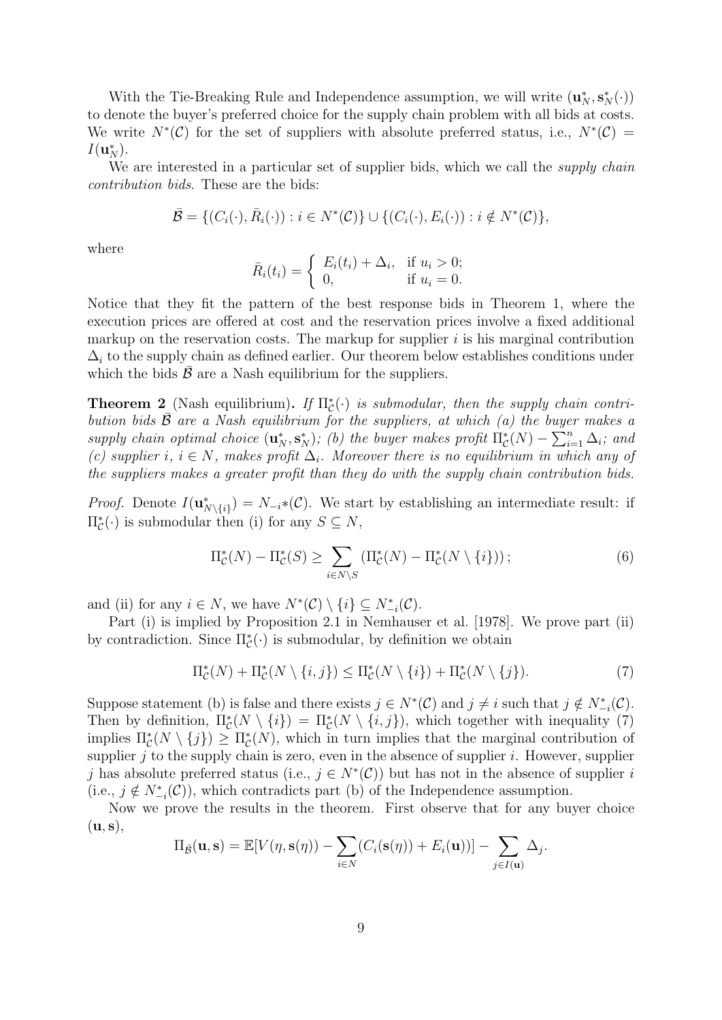With the Tie-Breaking Rule and Independence assumption, we will write  $(\mathbf{u}_N^*, \mathbf{s}_N^*(\cdot))$ to denote the buyer's preferred choice for the supply chain problem with all bids at costs. We write  $N^*(\mathcal{C})$  for the set of suppliers with absolute preferred status, i.e.,  $N^*(\mathcal{C})$  =  $I(\mathbf{u}_N^*)$ .

We are interested in a particular set of supplier bids, which we call the *supply chain* contribution bids. These are the bids:

$$
\bar{\mathcal{B}} = \{ (C_i(\cdot), \bar{R}_i(\cdot)) : i \in N^*(\mathcal{C}) \} \cup \{ (C_i(\cdot), E_i(\cdot)) : i \notin N^*(\mathcal{C}) \},
$$

where

$$
\bar{R}_i(t_i) = \begin{cases} E_i(t_i) + \Delta_i, & \text{if } u_i > 0; \\ 0, & \text{if } u_i = 0. \end{cases}
$$

Notice that they fit the pattern of the best response bids in Theorem 1, where the execution prices are offered at cost and the reservation prices involve a fixed additional markup on the reservation costs. The markup for supplier  $i$  is his marginal contribution  $\Delta_i$  to the supply chain as defined earlier. Our theorem below establishes conditions under which the bids  $\bar{\mathcal{B}}$  are a Nash equilibrium for the suppliers.

**Theorem 2** (Nash equilibrium). If  $\Pi_{\mathcal{C}}^*(\cdot)$  is submodular, then the supply chain contribution bids  $\bar{B}$  are a Nash equilibrium for the suppliers, at which (a) the buyer makes a supply chain optimal choice  $(\mathbf{u}_N^*, \mathbf{s}_N^*)$ ; (b) the buyer makes profit  $\Pi_c^*(N) - \sum_{i=1}^n \Delta_i$ ; and (c) supplier i,  $i \in N$ , makes profit  $\Delta_i$ . Moreover there is no equilibrium in which any of the suppliers makes a greater profit than they do with the supply chain contribution bids.

*Proof.* Denote  $I(\mathbf{u}_{N\setminus\{i\}}^*) = N_{-i}*(\mathcal{C})$ . We start by establishing an intermediate result: if  $\Pi_{\mathcal{C}}^*(\cdot)$  is submodular then (i) for any  $S \subseteq N$ ,

$$
\Pi_{\mathcal{C}}^*(N) - \Pi_{\mathcal{C}}^*(S) \ge \sum_{i \in N \setminus S} \left( \Pi_{\mathcal{C}}^*(N) - \Pi_{\mathcal{C}}^*(N \setminus \{i\}) \right); \tag{6}
$$

and (ii) for any  $i \in N$ , we have  $N^*(\mathcal{C}) \setminus \{i\} \subseteq N^*_{-i}(\mathcal{C})$ .

Part (i) is implied by Proposition 2.1 in Nemhauser et al. [1978]. We prove part (ii) by contradiction. Since  $\Pi_{\mathcal{C}}^*$  is submodular, by definition we obtain

$$
\Pi_{\mathcal{C}}^*(N) + \Pi_{\mathcal{C}}^*(N \setminus \{i, j\}) \le \Pi_{\mathcal{C}}^*(N \setminus \{i\}) + \Pi_{\mathcal{C}}^*(N \setminus \{j\}).\tag{7}
$$

Suppose statement (b) is false and there exists  $j \in N^*(\mathcal{C})$  and  $j \neq i$  such that  $j \notin N^*_{-i}(\mathcal{C})$ . Then by definition,  $\Pi_{\mathcal{C}}^*(N \setminus \{i\}) = \Pi_{\mathcal{C}}^*(N \setminus \{i,j\})$ , which together with inequality (7) implies  $\Pi_{\mathcal{C}}^*(N \setminus \{j\}) \geq \Pi_{\mathcal{C}}^*(N)$ , which in turn implies that the marginal contribution of supplier  $j$  to the supply chain is zero, even in the absence of supplier  $i$ . However, supplier j has absolute preferred status (i.e.,  $j \in N^*(\mathcal{C})$ ) but has not in the absence of supplier i (i.e.,  $j \notin N^*_{-i}(\mathcal{C})$ ), which contradicts part (b) of the Independence assumption.

Now we prove the results in the theorem. First observe that for any buyer choice  $(\mathbf{u}, \mathbf{s}),$ 

$$
\Pi_{\bar{\mathcal{B}}}(\mathbf{u}, \mathbf{s}) = \mathbb{E}[V(\eta, \mathbf{s}(\eta)) - \sum_{i \in N} (C_i(\mathbf{s}(\eta)) + E_i(\mathbf{u}))] - \sum_{j \in I(\mathbf{u})} \Delta_j.
$$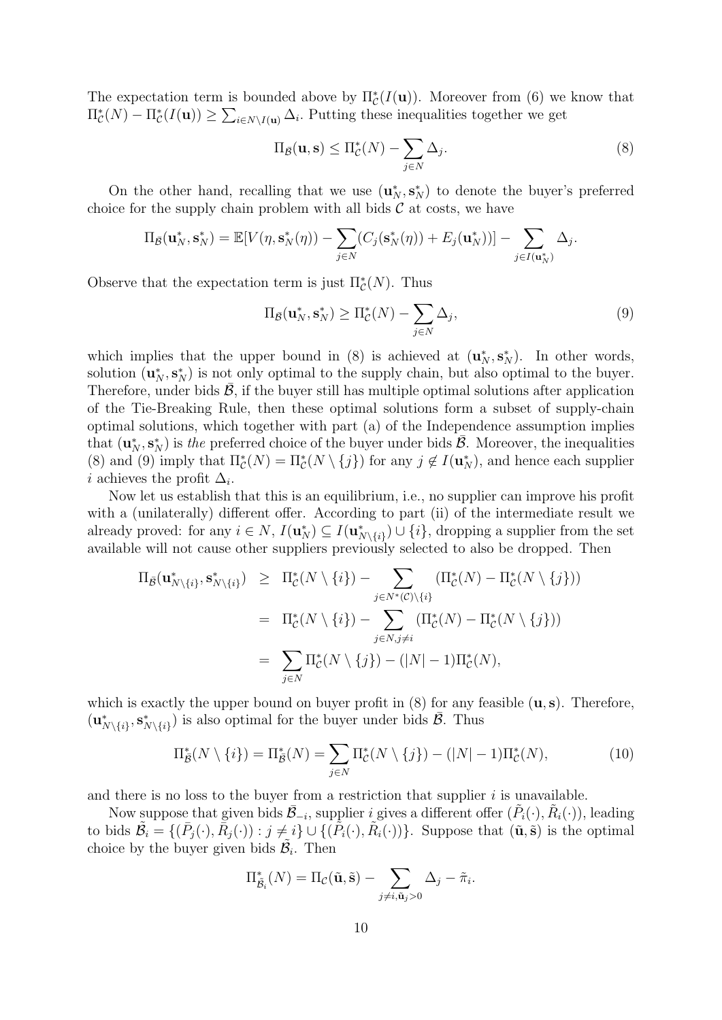The expectation term is bounded above by  $\Pi_{\mathcal{C}}^*(I(\mathbf{u}))$ . Moreover from (6) we know that  $\Pi_{\mathcal{C}}^*(N) - \Pi_{\mathcal{C}}^*(I(\mathbf{u})) \geq \sum_{i \in N \setminus I(\mathbf{u})} \Delta_i$ . Putting these inequalities together we get

$$
\Pi_{\bar{\mathcal{B}}}(\mathbf{u}, \mathbf{s}) \le \Pi_{\mathcal{C}}^*(N) - \sum_{j \in N} \Delta_j.
$$
\n(8)

On the other hand, recalling that we use  $(\mathbf{u}_N^*, \mathbf{s}_N^*)$  to denote the buyer's preferred choice for the supply chain problem with all bids  $\mathcal C$  at costs, we have

$$
\Pi_{\bar{\mathcal{B}}}(\mathbf{u}_N^*, \mathbf{s}_N^*) = \mathbb{E}[V(\eta, \mathbf{s}_N^*(\eta)) - \sum_{j \in N} (C_j(\mathbf{s}_N^*(\eta)) + E_j(\mathbf{u}_N^*))] - \sum_{j \in I(\mathbf{u}_N^*)} \Delta_j.
$$

Observe that the expectation term is just  $\Pi_{\mathcal{C}}^{*}(N)$ . Thus

$$
\Pi_{\bar{\mathcal{B}}}(\mathbf{u}_N^*, \mathbf{s}_N^*) \ge \Pi_{\mathcal{C}}^*(N) - \sum_{j \in N} \Delta_j,\tag{9}
$$

which implies that the upper bound in (8) is achieved at  $(\mathbf{u}_N^*, \mathbf{s}_N^*)$ . In other words, solution  $(\mathbf{u}_N^*, \mathbf{s}_N^*)$  is not only optimal to the supply chain, but also optimal to the buyer. Therefore, under bids  $\bar{\beta}$ , if the buyer still has multiple optimal solutions after application of the Tie-Breaking Rule, then these optimal solutions form a subset of supply-chain optimal solutions, which together with part (a) of the Independence assumption implies that  $(\mathbf{u}_N^*, \mathbf{s}_N^*)$  is the preferred choice of the buyer under bids  $\overline{B}$ . Moreover, the inequalities (8) and (9) imply that  $\Pi_{\mathcal{C}}^*(N) = \Pi_{\mathcal{C}}^*(N \setminus \{j\})$  for any  $j \notin I(\mathbf{u}_N^*)$ , and hence each supplier *i* achieves the profit  $\Delta_i$ .

Now let us establish that this is an equilibrium, i.e., no supplier can improve his profit with a (unilaterally) different offer. According to part (ii) of the intermediate result we already proved: for any  $i \in N$ ,  $I(\mathbf{u}_N^*) \subseteq I(\mathbf{u}_{N\setminus\{i\}}^*) \cup \{i\}$ , dropping a supplier from the set available will not cause other suppliers previously selected to also be dropped. Then

$$
\Pi_{\bar{\mathcal{B}}}(\mathbf{u}_{N\setminus\{i\}}^*, \mathbf{s}_{N\setminus\{i\}}^*) \geq \Pi_{\mathcal{C}}^*(N\setminus\{i\}) - \sum_{j\in N^*(\mathcal{C})\setminus\{i\}} (\Pi_{\mathcal{C}}^*(N) - \Pi_{\mathcal{C}}^*(N\setminus\{j\}))
$$
\n
$$
= \Pi_{\mathcal{C}}^*(N\setminus\{i\}) - \sum_{j\in N,j\neq i} (\Pi_{\mathcal{C}}^*(N) - \Pi_{\mathcal{C}}^*(N\setminus\{j\}))
$$
\n
$$
= \sum_{j\in N} \Pi_{\mathcal{C}}^*(N\setminus\{j\}) - (|N| - 1)\Pi_{\mathcal{C}}^*(N),
$$

which is exactly the upper bound on buyer profit in  $(8)$  for any feasible  $(u, s)$ . Therefore,  $(\mathbf{u}_{N\setminus\{i\}}^*, \mathbf{s}_{N\setminus\{i\}}^*)$  is also optimal for the buyer under bids  $\bar{\mathcal{B}}$ . Thus

$$
\Pi_{\bar{\mathcal{B}}}^*(N \setminus \{i\}) = \Pi_{\bar{\mathcal{B}}}^*(N) = \sum_{j \in N} \Pi_{\mathcal{C}}^*(N \setminus \{j\}) - (|N| - 1)\Pi_{\mathcal{C}}^*(N),\tag{10}
$$

and there is no loss to the buyer from a restriction that supplier  $i$  is unavailable.

Now suppose that given bids  $\bar{\mathcal{B}}_{-i}$ , supplier i gives a different offer  $(\tilde{P}_i(\cdot), \tilde{R}_i(\cdot))$ , leading to bids  $\tilde{\mathcal{B}}_i = \{(\bar{P}_j(\cdot), \bar{R}_j(\cdot)) : j \neq i\} \cup \{(\tilde{P}_i(\cdot), \tilde{R}_i(\cdot))\}\)$ . Suppose that  $(\tilde{\mathbf{u}}, \tilde{\mathbf{s}})$  is the optimal choice by the buyer given bids  $\tilde{\mathcal{B}}_i$ . Then

$$
\Pi_{\tilde{\mathcal{B}}_i}^*(N) = \Pi_{\mathcal{C}}(\tilde{\mathbf{u}}, \tilde{\mathbf{s}}) - \sum_{j \neq i, \tilde{\mathbf{u}}_j > 0} \Delta_j - \tilde{\pi}_i.
$$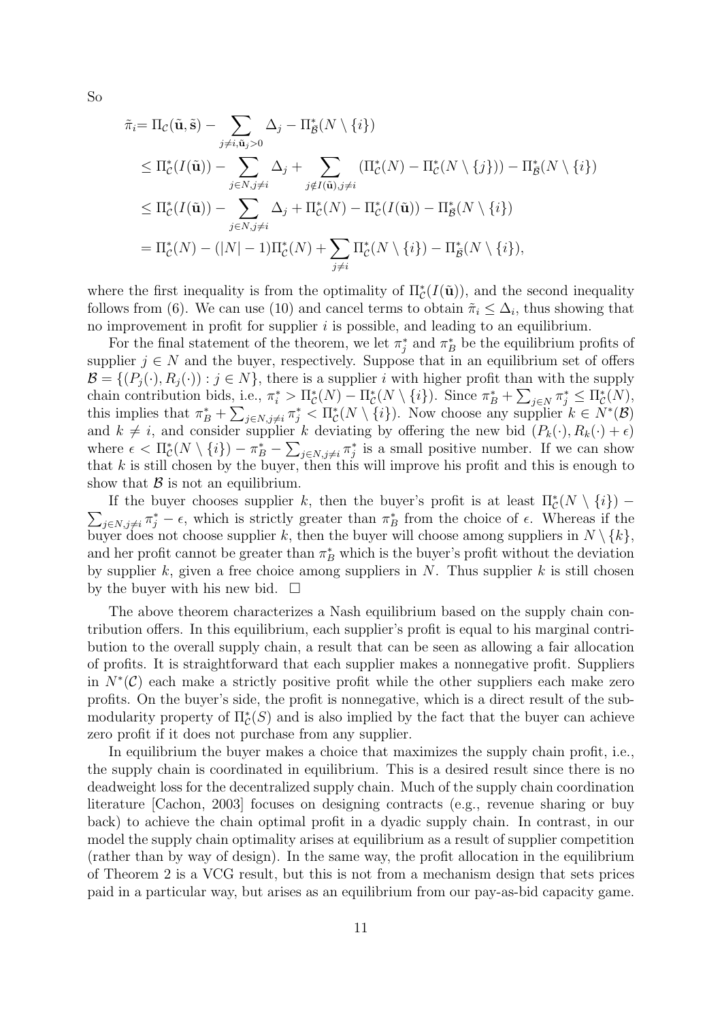So

$$
\tilde{\pi}_i = \Pi_{\mathcal{C}}(\tilde{\mathbf{u}}, \tilde{\mathbf{s}}) - \sum_{j \neq i, \tilde{\mathbf{u}}_j > 0} \Delta_j - \Pi_{\tilde{\mathcal{B}}}^*(N \setminus \{i\})
$$
\n
$$
\leq \Pi_{\mathcal{C}}^*(I(\tilde{\mathbf{u}})) - \sum_{j \in N, j \neq i} \Delta_j + \sum_{j \notin I(\tilde{\mathbf{u}}), j \neq i} (\Pi_{\mathcal{C}}^*(N) - \Pi_{\mathcal{C}}^*(N \setminus \{j\})) - \Pi_{\tilde{\mathcal{B}}}^*(N \setminus \{i\})
$$
\n
$$
\leq \Pi_{\mathcal{C}}^*(I(\tilde{\mathbf{u}})) - \sum_{j \in N, j \neq i} \Delta_j + \Pi_{\mathcal{C}}^*(N) - \Pi_{\mathcal{C}}^*(I(\tilde{\mathbf{u}})) - \Pi_{\tilde{\mathcal{B}}}^*(N \setminus \{i\})
$$
\n
$$
= \Pi_{\mathcal{C}}^*(N) - (|N| - 1)\Pi_{\mathcal{C}}^*(N) + \sum_{j \neq i} \Pi_{\mathcal{C}}^*(N \setminus \{i\}) - \Pi_{\tilde{\mathcal{B}}}^*(N \setminus \{i\}),
$$

where the first inequality is from the optimality of  $\Pi_{\mathcal{C}}^*(I(\tilde{\mathbf{u}}))$ , and the second inequality follows from (6). We can use (10) and cancel terms to obtain  $\tilde{\pi}_i \leq \Delta_i$ , thus showing that no improvement in profit for supplier  $i$  is possible, and leading to an equilibrium.

For the final statement of the theorem, we let  $\pi_j^*$  and  $\pi_B^*$  be the equilibrium profits of supplier  $j \in N$  and the buyer, respectively. Suppose that in an equilibrium set of offers  $\mathcal{B} = \{(P_i(\cdot), R_i(\cdot)) : j \in N\}$ , there is a supplier i with higher profit than with the supply chain contribution bids, i.e.,  $\pi_i^* > \Pi_{\mathcal{C}}^*(N) - \Pi_{\mathcal{C}}^*(N \setminus \{i\})$ . Since  $\pi_B^* + \sum_{j \in N} \pi_j^* \leq \Pi_{\mathcal{C}}^*(N)$ , this implies that  $\pi_B^* + \sum_{j \in N, j \neq i} \pi_j^* < \Pi_{\mathcal{C}}^*(N \setminus \{i\})$ . Now choose any supplier  $k \in N^*(\mathcal{B})$ and  $k \neq i$ , and consider supplier k deviating by offering the new bid  $(P_k(\cdot), R_k(\cdot) + \epsilon)$ where  $\epsilon < \Pi_{\mathcal{C}}^*(N \setminus \{i\}) - \pi_B^* - \sum_{j \in N, j \neq i} \pi_j^*$  is a small positive number. If we can show that  $k$  is still chosen by the buyer, then this will improve his profit and this is enough to show that  $\beta$  is not an equilibrium.

If the buyer chooses supplier k, then the buyer's profit is at least  $\Pi_{\mathcal{C}}^*(N \setminus \{i\})$  –  $\sum_{j\in N, j\neq i} \pi_j^* - \epsilon$ , which is strictly greater than  $\pi_B^*$  from the choice of  $\epsilon$ . Whereas if the buyer does not choose supplier k, then the buyer will choose among suppliers in  $N \setminus \{k\},$ and her profit cannot be greater than  $\pi_B^*$  which is the buyer's profit without the deviation by supplier k, given a free choice among suppliers in  $N$ . Thus supplier k is still chosen by the buyer with his new bid.  $\square$ 

The above theorem characterizes a Nash equilibrium based on the supply chain contribution offers. In this equilibrium, each supplier's profit is equal to his marginal contribution to the overall supply chain, a result that can be seen as allowing a fair allocation of profits. It is straightforward that each supplier makes a nonnegative profit. Suppliers in  $N^*(\mathcal{C})$  each make a strictly positive profit while the other suppliers each make zero profits. On the buyer's side, the profit is nonnegative, which is a direct result of the submodularity property of  $\Pi_{\mathcal{C}}^*(S)$  and is also implied by the fact that the buyer can achieve zero profit if it does not purchase from any supplier.

In equilibrium the buyer makes a choice that maximizes the supply chain profit, i.e., the supply chain is coordinated in equilibrium. This is a desired result since there is no deadweight loss for the decentralized supply chain. Much of the supply chain coordination literature [Cachon, 2003] focuses on designing contracts (e.g., revenue sharing or buy back) to achieve the chain optimal profit in a dyadic supply chain. In contrast, in our model the supply chain optimality arises at equilibrium as a result of supplier competition (rather than by way of design). In the same way, the profit allocation in the equilibrium of Theorem 2 is a VCG result, but this is not from a mechanism design that sets prices paid in a particular way, but arises as an equilibrium from our pay-as-bid capacity game.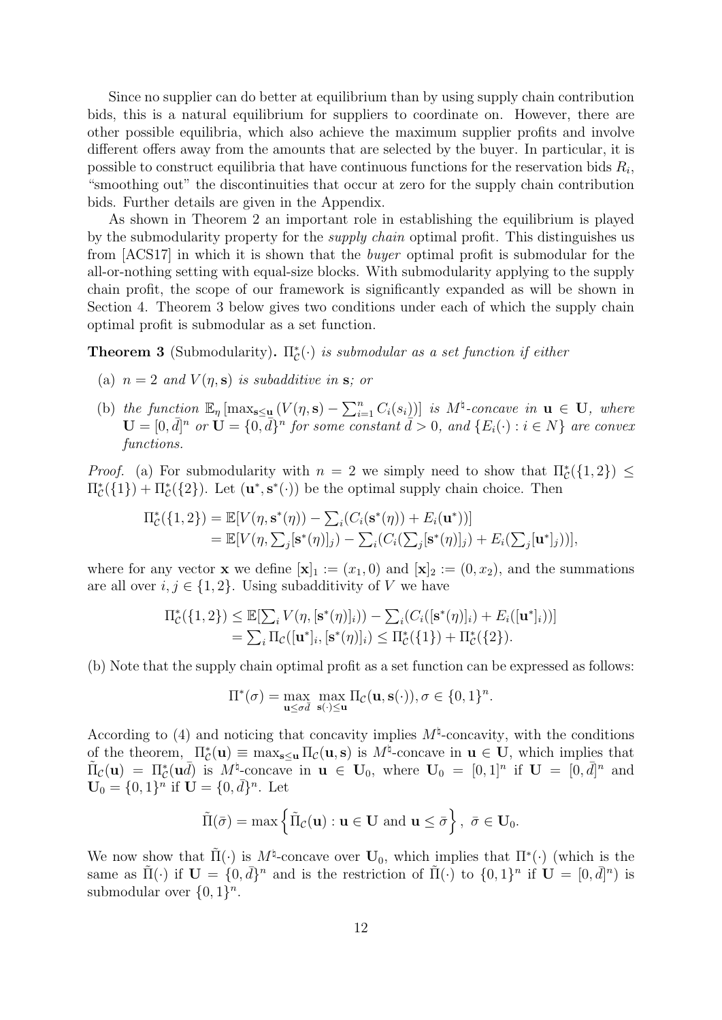Since no supplier can do better at equilibrium than by using supply chain contribution bids, this is a natural equilibrium for suppliers to coordinate on. However, there are other possible equilibria, which also achieve the maximum supplier profits and involve different offers away from the amounts that are selected by the buyer. In particular, it is possible to construct equilibria that have continuous functions for the reservation bids  $R_i$ , "smoothing out" the discontinuities that occur at zero for the supply chain contribution bids. Further details are given in the Appendix.

As shown in Theorem 2 an important role in establishing the equilibrium is played by the submodularity property for the *supply chain* optimal profit. This distinguishes us from [ACS17] in which it is shown that the buyer optimal profit is submodular for the all-or-nothing setting with equal-size blocks. With submodularity applying to the supply chain profit, the scope of our framework is significantly expanded as will be shown in Section 4. Theorem 3 below gives two conditions under each of which the supply chain optimal profit is submodular as a set function.

**Theorem 3** (Submodularity).  $\Pi_{\mathcal{C}}^{\ast}(\cdot)$  is submodular as a set function if either

- (a)  $n = 2$  and  $V(\eta, s)$  is subadditive in s; or
- (b) the function  $\mathbb{E}_{\eta}$   $[\max_{s\leq u} (V(\eta, s)-\sum_{i=1}^n C_i(s_i))]$  is  $M^{\natural}$ -concave in  $u \in U$ , where  $\mathbf{U} = [0, \bar{d}]^n$  or  $\mathbf{U} = \{0, \bar{d}\}^n$  for some constant  $\tilde{d} > 0$ , and  $\{E_i(\cdot) : i \in N\}$  are convex functions.

*Proof.* (a) For submodularity with  $n = 2$  we simply need to show that  $\Pi_{\mathcal{C}}^*(\{1,2\}) \leq$  $\Pi_{\mathcal{C}}^*({1}) + \Pi_{\mathcal{C}}^*({2}).$  Let  $(\mathbf{u}^*, \mathbf{s}^*(\cdot))$  be the optimal supply chain choice. Then

$$
\Pi_{\mathcal{C}}^*(\{1,2\}) = \mathbb{E}[V(\eta, \mathbf{s}^*(\eta)) - \sum_{i} (C_i(\mathbf{s}^*(\eta)) + E_i(\mathbf{u}^*))]
$$
  
=  $\mathbb{E}[V(\eta, \sum_{j} [\mathbf{s}^*(\eta)]_j) - \sum_{i} (C_i(\sum_{j} [\mathbf{s}^*(\eta)]_j) + E_i(\sum_{j} [\mathbf{u}^*]_j))],$ 

where for any vector **x** we define  $[\mathbf{x}]_1 := (x_1, 0)$  and  $[\mathbf{x}]_2 := (0, x_2)$ , and the summations are all over  $i, j \in \{1, 2\}$ . Using subadditivity of V we have

$$
\Pi_{\mathcal{C}}^*(\{1,2\}) \leq \mathbb{E}[\sum_i V(\eta, [\mathbf{s}^*(\eta)]_i)) - \sum_i (C_i([\mathbf{s}^*(\eta)]_i) + E_i([\mathbf{u}^*]_i))]
$$
  
=  $\sum_i \Pi_{\mathcal{C}}([\mathbf{u}^*]_i, [\mathbf{s}^*(\eta)]_i) \leq \Pi_{\mathcal{C}}^*(\{1\}) + \Pi_{\mathcal{C}}^*(\{2\}).$ 

(b) Note that the supply chain optimal profit as a set function can be expressed as follows:

$$
\Pi^*(\sigma) = \max_{\mathbf{u} \leq \sigma \bar{d}} \max_{\mathbf{s}(\cdot) \leq \mathbf{u}} \Pi_{\mathcal{C}}(\mathbf{u}, \mathbf{s}(\cdot)), \sigma \in \{0, 1\}^n.
$$

According to (4) and noticing that concavity implies  $M^{\natural}$ -concavity, with the conditions of the theorem,  $\Pi_{\mathcal{C}}^*(\mathbf{u}) \equiv \max_{\mathbf{s} \leq \mathbf{u}} \Pi_{\mathcal{C}}(\mathbf{u}, \mathbf{s})$  is  $M^{\natural}$ -concave in  $\mathbf{u} \in \mathbf{U}$ , which implies that  $\tilde{\Pi}_{\mathcal{C}}(\mathbf{u}) = \Pi_{\mathcal{C}}^*(\mathbf{u}\bar{d})$  is  $M^{\sharp}$ -concave in  $\mathbf{u} \in \mathbf{U}_0$ , where  $\mathbf{U}_0 = [0,1]^n$  if  $\mathbf{U} = [0,\bar{d}]^n$  and  $\mathbf{U}_0 = \{0,1\}^n$  if  $\mathbf{U} = \{0,\bar{d}\}^n$ . Let

$$
\tilde{\Pi}(\bar{\sigma}) = \max \left\{ \tilde{\Pi}_{\mathcal{C}}(\mathbf{u}) : \mathbf{u} \in \mathbf{U} \text{ and } \mathbf{u} \leq \bar{\sigma} \right\}, \ \bar{\sigma} \in \mathbf{U}_0.
$$

We now show that  $\tilde{\Pi}(\cdot)$  is  $M^{\natural}$ -concave over  $\mathbf{U}_0$ , which implies that  $\Pi^*(\cdot)$  (which is the same as  $\tilde{\Pi}(\cdot)$  if  $\mathbf{U} = \{0, \bar{d}\}^n$  and is the restriction of  $\tilde{\Pi}(\cdot)$  to  $\{0, 1\}^n$  if  $\mathbf{U} = [0, \bar{d}]^n$  is submodular over  $\{0,1\}^n$ .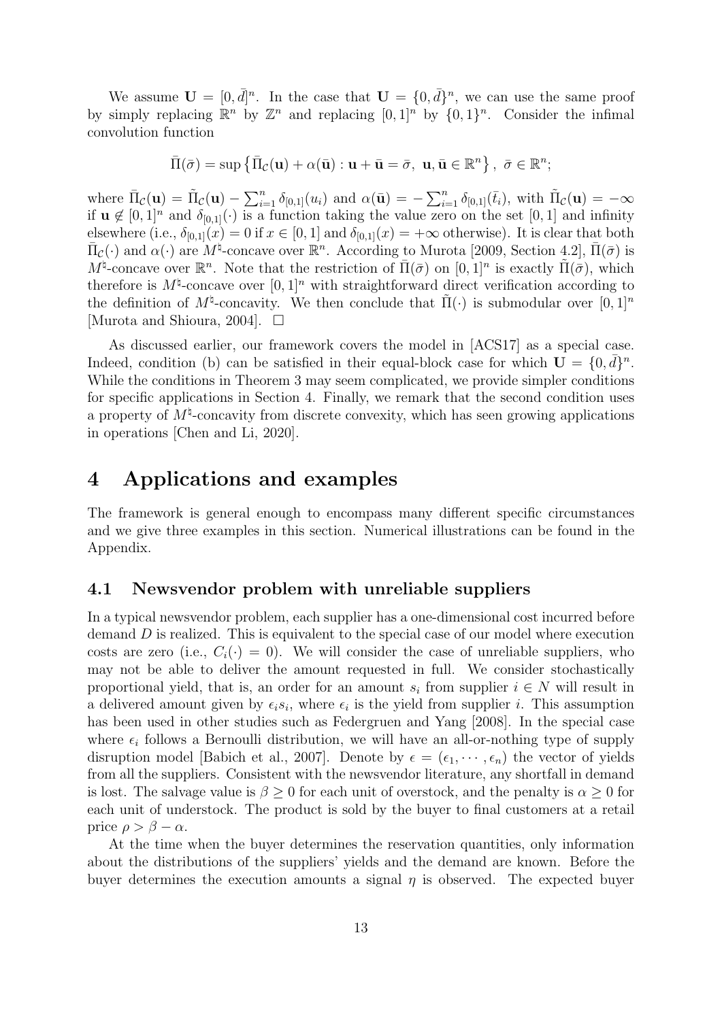We assume  $\mathbf{U} = [0, \bar{d}]^n$ . In the case that  $\mathbf{U} = \{0, \bar{d}\}^n$ , we can use the same proof by simply replacing  $\mathbb{R}^n$  by  $\mathbb{Z}^n$  and replacing  $[0, 1]^n$  by  $\{0, 1\}^n$ . Consider the infimal convolution function

$$
\bar{\Pi}(\bar{\sigma}) = \sup \{ \bar{\Pi}_{\mathcal{C}}(\mathbf{u}) + \alpha(\bar{\mathbf{u}}) : \mathbf{u} + \bar{\mathbf{u}} = \bar{\sigma}, \ \mathbf{u}, \bar{\mathbf{u}} \in \mathbb{R}^n \}, \ \bar{\sigma} \in \mathbb{R}^n;
$$

where  $\bar{\Pi}_{\mathcal{C}}(\mathbf{u}) = \tilde{\Pi}_{\mathcal{C}}(\mathbf{u}) - \sum_{i=1}^n \delta_{[0,1]}(u_i)$  and  $\alpha(\bar{\mathbf{u}}) = -\sum_{i=1}^n \delta_{[0,1]}(\bar{t}_i)$ , with  $\tilde{\Pi}_{\mathcal{C}}(\mathbf{u}) = -\infty$ if  $\mathbf{u} \notin [0,1]^n$  and  $\delta_{[0,1]}(\cdot)$  is a function taking the value zero on the set  $[0,1]$  and infinity elsewhere (i.e.,  $\delta_{[0,1]}(x) = 0$  if  $x \in [0,1]$  and  $\delta_{[0,1]}(x) = +\infty$  otherwise). It is clear that both  $\bar{\Pi}_{\mathcal{C}}(\cdot)$  and  $\alpha(\cdot)$  are  $M^{\sharp}$ -concave over  $\mathbb{R}^{n}$ . According to Murota [2009, Section 4.2],  $\bar{\Pi}(\bar{\sigma})$  is  $M^{\natural}$ -concave over  $\mathbb{R}^n$ . Note that the restriction of  $\bar{\Pi}(\bar{\sigma})$  on  $[0,1]^n$  is exactly  $\tilde{\Pi}(\bar{\sigma})$ , which therefore is  $M^{\natural}$ -concave over  $[0, 1]^n$  with straightforward direct verification according to the definition of  $M^{\natural}$ -concavity. We then conclude that  $\tilde{\Pi}(\cdot)$  is submodular over  $[0,1]^n$ [Murota and Shioura, 2004].  $\Box$ 

As discussed earlier, our framework covers the model in [ACS17] as a special case. Indeed, condition (b) can be satisfied in their equal-block case for which  $\mathbf{U} = \{0, \bar{d}\}^n$ . While the conditions in Theorem 3 may seem complicated, we provide simpler conditions for specific applications in Section 4. Finally, we remark that the second condition uses a property of  $M^{\natural}$ -concavity from discrete convexity, which has seen growing applications in operations [Chen and Li, 2020].

# 4 Applications and examples

The framework is general enough to encompass many different specific circumstances and we give three examples in this section. Numerical illustrations can be found in the Appendix.

### 4.1 Newsvendor problem with unreliable suppliers

In a typical newsvendor problem, each supplier has a one-dimensional cost incurred before demand D is realized. This is equivalent to the special case of our model where execution costs are zero (i.e.,  $C_i(\cdot) = 0$ ). We will consider the case of unreliable suppliers, who may not be able to deliver the amount requested in full. We consider stochastically proportional yield, that is, an order for an amount  $s_i$  from supplier  $i \in N$  will result in a delivered amount given by  $\epsilon_i s_i$ , where  $\epsilon_i$  is the yield from supplier *i*. This assumption has been used in other studies such as Federgruen and Yang [2008]. In the special case where  $\epsilon_i$  follows a Bernoulli distribution, we will have an all-or-nothing type of supply disruption model [Babich et al., 2007]. Denote by  $\epsilon = (\epsilon_1, \dots, \epsilon_n)$  the vector of yields from all the suppliers. Consistent with the newsvendor literature, any shortfall in demand is lost. The salvage value is  $\beta \geq 0$  for each unit of overstock, and the penalty is  $\alpha \geq 0$  for each unit of understock. The product is sold by the buyer to final customers at a retail price  $\rho > \beta - \alpha$ .

At the time when the buyer determines the reservation quantities, only information about the distributions of the suppliers' yields and the demand are known. Before the buyer determines the execution amounts a signal  $\eta$  is observed. The expected buyer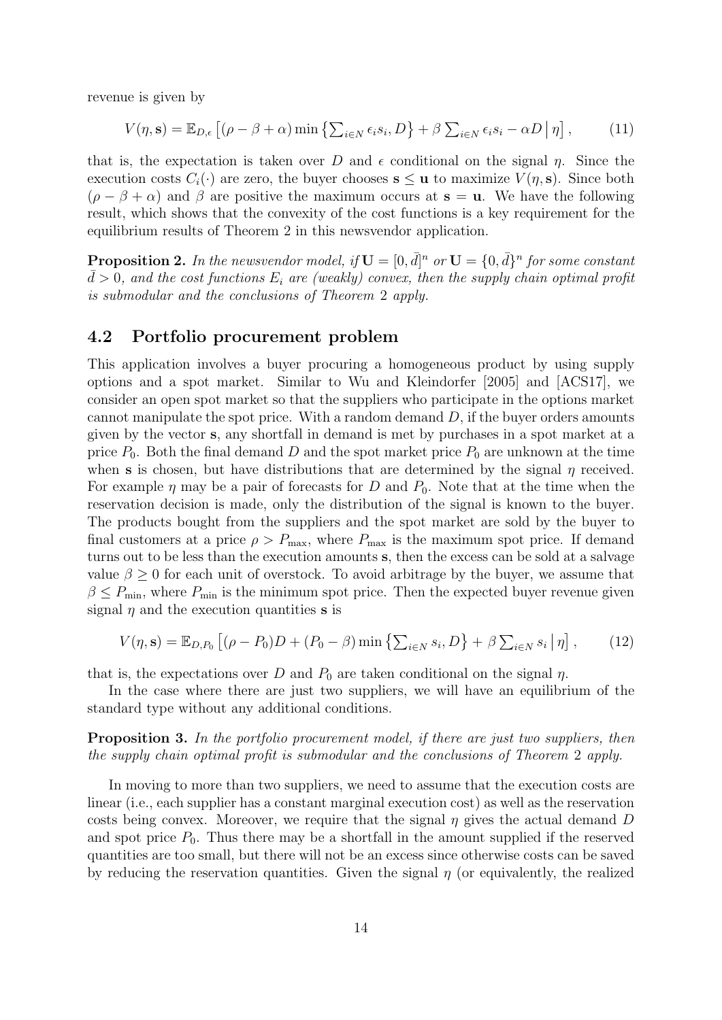revenue is given by

$$
V(\eta, \mathbf{s}) = \mathbb{E}_{D,\epsilon} \left[ (\rho - \beta + \alpha) \min \left\{ \sum_{i \in N} \epsilon_i s_i, D \right\} + \beta \sum_{i \in N} \epsilon_i s_i - \alpha D \, \middle| \, \eta \right],\tag{11}
$$

that is, the expectation is taken over D and  $\epsilon$  conditional on the signal  $\eta$ . Since the execution costs  $C_i(\cdot)$  are zero, the buyer chooses  $s \le u$  to maximize  $V(\eta, s)$ . Since both  $(\rho - \beta + \alpha)$  and  $\beta$  are positive the maximum occurs at  $s = u$ . We have the following result, which shows that the convexity of the cost functions is a key requirement for the equilibrium results of Theorem 2 in this newsvendor application.

**Proposition 2.** In the newsvendor model, if  $\mathbf{U} = [0, \bar{d}]^n$  or  $\mathbf{U} = \{0, \bar{d}\}^n$  for some constant  $d > 0$ , and the cost functions  $E_i$  are (weakly) convex, then the supply chain optimal profit is submodular and the conclusions of Theorem 2 apply.

# 4.2 Portfolio procurement problem

This application involves a buyer procuring a homogeneous product by using supply options and a spot market. Similar to Wu and Kleindorfer [2005] and [ACS17], we consider an open spot market so that the suppliers who participate in the options market cannot manipulate the spot price. With a random demand  $D$ , if the buyer orders amounts given by the vector s, any shortfall in demand is met by purchases in a spot market at a price  $P_0$ . Both the final demand D and the spot market price  $P_0$  are unknown at the time when s is chosen, but have distributions that are determined by the signal  $\eta$  received. For example  $\eta$  may be a pair of forecasts for D and  $P_0$ . Note that at the time when the reservation decision is made, only the distribution of the signal is known to the buyer. The products bought from the suppliers and the spot market are sold by the buyer to final customers at a price  $\rho > P_{\text{max}}$ , where  $P_{\text{max}}$  is the maximum spot price. If demand turns out to be less than the execution amounts s, then the excess can be sold at a salvage value  $\beta \geq 0$  for each unit of overstock. To avoid arbitrage by the buyer, we assume that  $\beta \leq P_{\min}$ , where  $P_{\min}$  is the minimum spot price. Then the expected buyer revenue given signal  $\eta$  and the execution quantities **s** is

$$
V(\eta, \mathbf{s}) = \mathbb{E}_{D, P_0} \left[ (\rho - P_0) D + (P_0 - \beta) \min \left\{ \sum_{i \in N} s_i, D \right\} + \beta \sum_{i \in N} s_i \, \middle| \, \eta \right],\tag{12}
$$

that is, the expectations over D and  $P_0$  are taken conditional on the signal  $\eta$ .

In the case where there are just two suppliers, we will have an equilibrium of the standard type without any additional conditions.

**Proposition 3.** In the portfolio procurement model, if there are just two suppliers, then the supply chain optimal profit is submodular and the conclusions of Theorem 2 apply.

In moving to more than two suppliers, we need to assume that the execution costs are linear (i.e., each supplier has a constant marginal execution cost) as well as the reservation costs being convex. Moreover, we require that the signal  $\eta$  gives the actual demand D and spot price  $P_0$ . Thus there may be a shortfall in the amount supplied if the reserved quantities are too small, but there will not be an excess since otherwise costs can be saved by reducing the reservation quantities. Given the signal  $\eta$  (or equivalently, the realized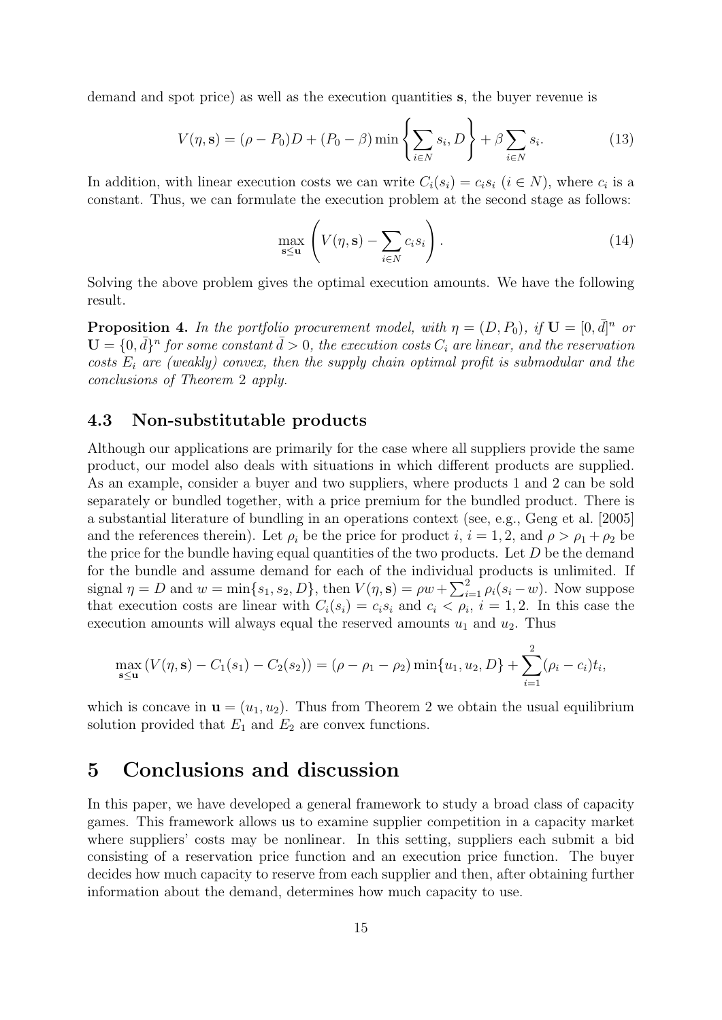demand and spot price) as well as the execution quantities s, the buyer revenue is

$$
V(\eta, \mathbf{s}) = (\rho - P_0)D + (P_0 - \beta) \min \left\{ \sum_{i \in N} s_i, D \right\} + \beta \sum_{i \in N} s_i.
$$
 (13)

In addition, with linear execution costs we can write  $C_i(s_i) = c_i s_i$   $(i \in N)$ , where  $c_i$  is a constant. Thus, we can formulate the execution problem at the second stage as follows:

$$
\max_{\mathbf{s} \le \mathbf{u}} \left( V(\eta, \mathbf{s}) - \sum_{i \in N} c_i s_i \right). \tag{14}
$$

Solving the above problem gives the optimal execution amounts. We have the following result.

**Proposition 4.** In the portfolio procurement model, with  $\eta = (D, P_0)$ , if  $\mathbf{U} = [0, \bar{d}]^n$  or  $\mathbf{U} = \{0, \bar{d}\}^n$  for some constant  $\bar{d} > 0$ , the execution costs  $C_i$  are linear, and the reservation costs  $E_i$  are (weakly) convex, then the supply chain optimal profit is submodular and the conclusions of Theorem 2 apply.

# 4.3 Non-substitutable products

Although our applications are primarily for the case where all suppliers provide the same product, our model also deals with situations in which different products are supplied. As an example, consider a buyer and two suppliers, where products 1 and 2 can be sold separately or bundled together, with a price premium for the bundled product. There is a substantial literature of bundling in an operations context (see, e.g., Geng et al. [2005] and the references therein). Let  $\rho_i$  be the price for product i,  $i = 1, 2$ , and  $\rho > \rho_1 + \rho_2$  be the price for the bundle having equal quantities of the two products. Let  $D$  be the demand for the bundle and assume demand for each of the individual products is unlimited. If signal  $\eta = D$  and  $w = \min\{s_1, s_2, D\}$ , then  $V(\eta, s) = \rho w + \sum_{i=1}^2 \rho_i(s_i - w)$ . Now suppose that execution costs are linear with  $C_i(s_i) = c_i s_i$  and  $c_i < \rho_i$ ,  $i = 1, 2$ . In this case the execution amounts will always equal the reserved amounts  $u_1$  and  $u_2$ . Thus

$$
\max_{\mathbf{s} \leq \mathbf{u}} \left( V(\eta, \mathbf{s}) - C_1(s_1) - C_2(s_2) \right) = (\rho - \rho_1 - \rho_2) \min\{u_1, u_2, D\} + \sum_{i=1}^2 (\rho_i - c_i) t_i,
$$

which is concave in  $\mathbf{u} = (u_1, u_2)$ . Thus from Theorem 2 we obtain the usual equilibrium solution provided that  $E_1$  and  $E_2$  are convex functions.

# 5 Conclusions and discussion

In this paper, we have developed a general framework to study a broad class of capacity games. This framework allows us to examine supplier competition in a capacity market where suppliers' costs may be nonlinear. In this setting, suppliers each submit a bid consisting of a reservation price function and an execution price function. The buyer decides how much capacity to reserve from each supplier and then, after obtaining further information about the demand, determines how much capacity to use.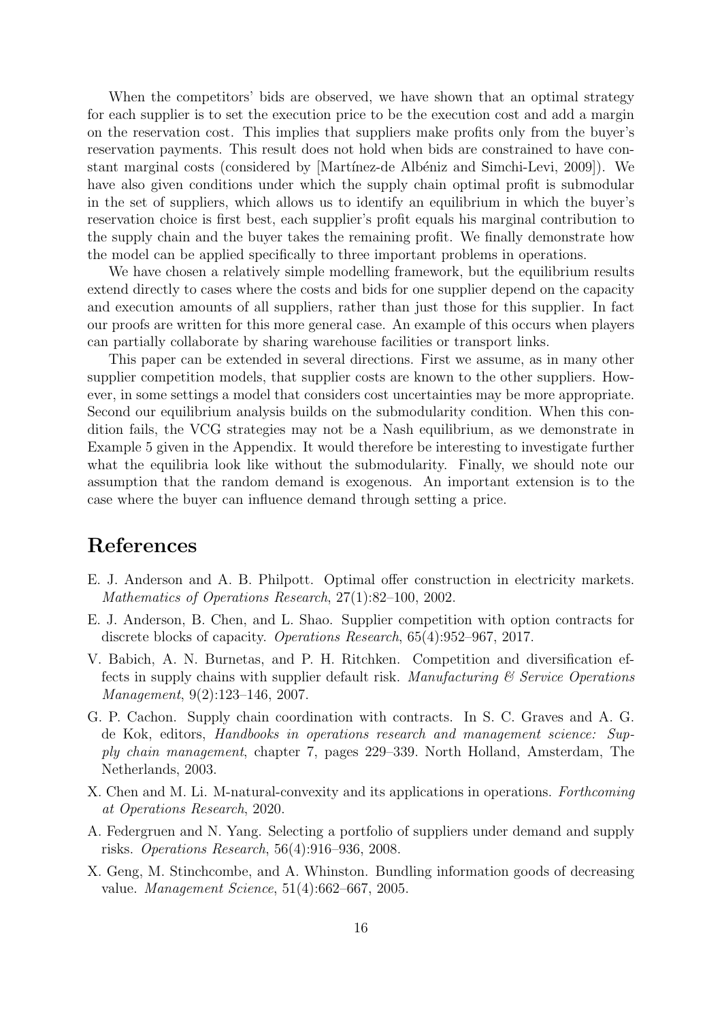When the competitors' bids are observed, we have shown that an optimal strategy for each supplier is to set the execution price to be the execution cost and add a margin on the reservation cost. This implies that suppliers make profits only from the buyer's reservation payments. This result does not hold when bids are constrained to have constant marginal costs (considered by [Martínez-de Albéniz and Simchi-Levi, 2009]). We have also given conditions under which the supply chain optimal profit is submodular in the set of suppliers, which allows us to identify an equilibrium in which the buyer's reservation choice is first best, each supplier's profit equals his marginal contribution to the supply chain and the buyer takes the remaining profit. We finally demonstrate how the model can be applied specifically to three important problems in operations.

We have chosen a relatively simple modelling framework, but the equilibrium results extend directly to cases where the costs and bids for one supplier depend on the capacity and execution amounts of all suppliers, rather than just those for this supplier. In fact our proofs are written for this more general case. An example of this occurs when players can partially collaborate by sharing warehouse facilities or transport links.

This paper can be extended in several directions. First we assume, as in many other supplier competition models, that supplier costs are known to the other suppliers. However, in some settings a model that considers cost uncertainties may be more appropriate. Second our equilibrium analysis builds on the submodularity condition. When this condition fails, the VCG strategies may not be a Nash equilibrium, as we demonstrate in Example 5 given in the Appendix. It would therefore be interesting to investigate further what the equilibria look like without the submodularity. Finally, we should note our assumption that the random demand is exogenous. An important extension is to the case where the buyer can influence demand through setting a price.

# References

- E. J. Anderson and A. B. Philpott. Optimal offer construction in electricity markets. Mathematics of Operations Research, 27(1):82–100, 2002.
- E. J. Anderson, B. Chen, and L. Shao. Supplier competition with option contracts for discrete blocks of capacity. Operations Research, 65(4):952–967, 2017.
- V. Babich, A. N. Burnetas, and P. H. Ritchken. Competition and diversification effects in supply chains with supplier default risk. Manufacturing  $\mathcal C$  Service Operations Management, 9(2):123–146, 2007.
- G. P. Cachon. Supply chain coordination with contracts. In S. C. Graves and A. G. de Kok, editors, Handbooks in operations research and management science: Supply chain management, chapter 7, pages 229–339. North Holland, Amsterdam, The Netherlands, 2003.
- X. Chen and M. Li. M-natural-convexity and its applications in operations. Forthcoming at Operations Research, 2020.
- A. Federgruen and N. Yang. Selecting a portfolio of suppliers under demand and supply risks. Operations Research, 56(4):916–936, 2008.
- X. Geng, M. Stinchcombe, and A. Whinston. Bundling information goods of decreasing value. Management Science, 51(4):662–667, 2005.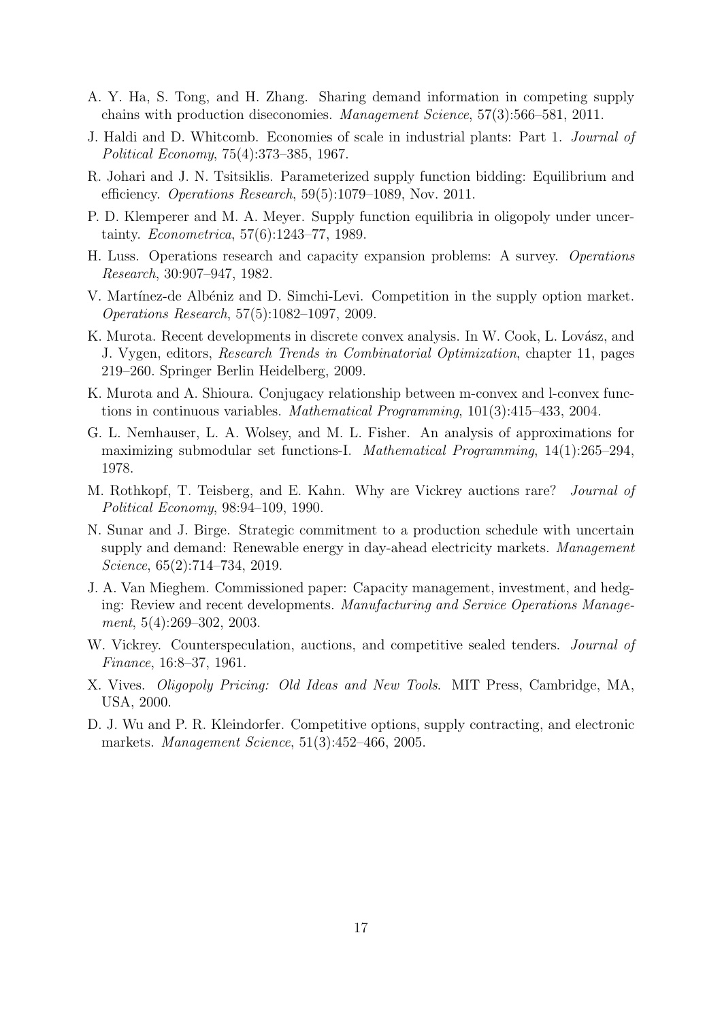- A. Y. Ha, S. Tong, and H. Zhang. Sharing demand information in competing supply chains with production diseconomies. Management Science, 57(3):566–581, 2011.
- J. Haldi and D. Whitcomb. Economies of scale in industrial plants: Part 1. Journal of Political Economy, 75(4):373–385, 1967.
- R. Johari and J. N. Tsitsiklis. Parameterized supply function bidding: Equilibrium and efficiency. Operations Research, 59(5):1079–1089, Nov. 2011.
- P. D. Klemperer and M. A. Meyer. Supply function equilibria in oligopoly under uncertainty. Econometrica, 57(6):1243–77, 1989.
- H. Luss. Operations research and capacity expansion problems: A survey. Operations Research, 30:907–947, 1982.
- V. Martínez-de Albéniz and D. Simchi-Levi. Competition in the supply option market. Operations Research, 57(5):1082–1097, 2009.
- K. Murota. Recent developments in discrete convex analysis. In W. Cook, L. Lovász, and J. Vygen, editors, Research Trends in Combinatorial Optimization, chapter 11, pages 219–260. Springer Berlin Heidelberg, 2009.
- K. Murota and A. Shioura. Conjugacy relationship between m-convex and l-convex functions in continuous variables. Mathematical Programming, 101(3):415–433, 2004.
- G. L. Nemhauser, L. A. Wolsey, and M. L. Fisher. An analysis of approximations for maximizing submodular set functions-I. Mathematical Programming, 14(1):265–294, 1978.
- M. Rothkopf, T. Teisberg, and E. Kahn. Why are Vickrey auctions rare? Journal of Political Economy, 98:94–109, 1990.
- N. Sunar and J. Birge. Strategic commitment to a production schedule with uncertain supply and demand: Renewable energy in day-ahead electricity markets. Management Science, 65(2):714–734, 2019.
- J. A. Van Mieghem. Commissioned paper: Capacity management, investment, and hedging: Review and recent developments. Manufacturing and Service Operations Management, 5(4):269–302, 2003.
- W. Vickrey. Counterspeculation, auctions, and competitive sealed tenders. *Journal of* Finance, 16:8–37, 1961.
- X. Vives. Oligopoly Pricing: Old Ideas and New Tools. MIT Press, Cambridge, MA, USA, 2000.
- D. J. Wu and P. R. Kleindorfer. Competitive options, supply contracting, and electronic markets. Management Science, 51(3):452–466, 2005.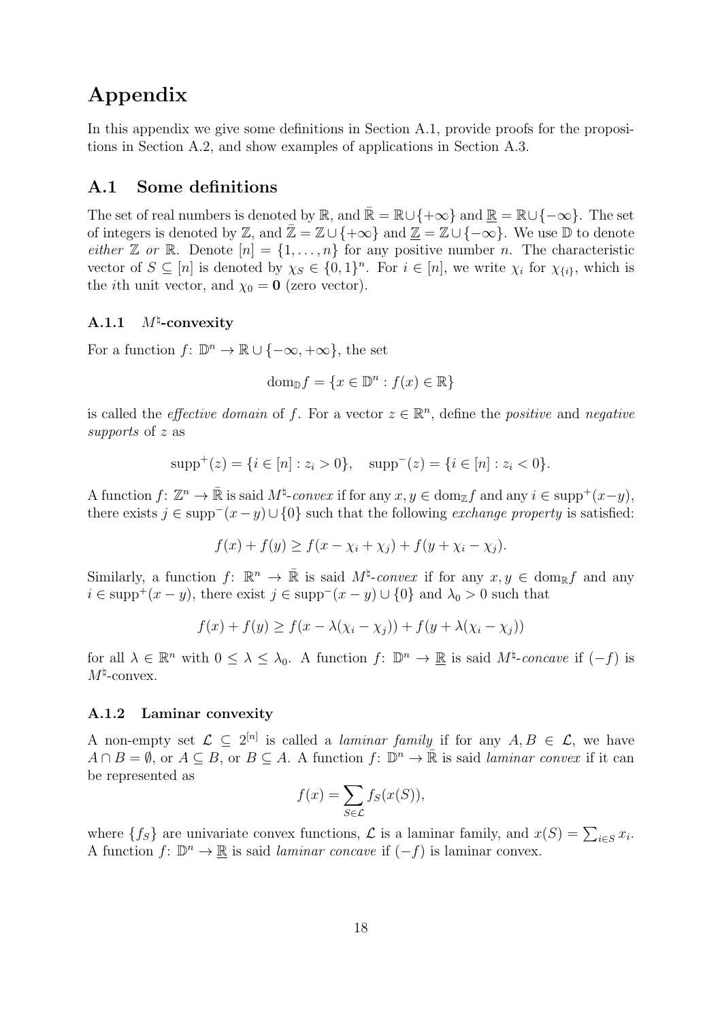# Appendix

In this appendix we give some definitions in Section A.1, provide proofs for the propositions in Section A.2, and show examples of applications in Section A.3.

# A.1 Some definitions

The set of real numbers is denoted by  $\mathbb{R}$ , and  $\bar{\mathbb{R}} = \mathbb{R} \cup \{+\infty\}$  and  $\bar{\mathbb{R}} = \mathbb{R} \cup \{-\infty\}$ . The set of integers is denoted by Z, and  $\bar{\mathbb{Z}} = \mathbb{Z} \cup \{+\infty\}$  and  $\mathbb{Z} = \mathbb{Z} \cup \{-\infty\}$ . We use D to denote either Z or R. Denote  $[n] = \{1, \ldots, n\}$  for any positive number n. The characteristic vector of  $S \subseteq [n]$  is denoted by  $\chi_S \in \{0,1\}^n$ . For  $i \in [n]$ , we write  $\chi_i$  for  $\chi_{\{i\}}$ , which is the *i*th unit vector, and  $\chi_0 = 0$  (zero vector).

#### $A.1.1$  $M^{\natural}$ -convexity

For a function  $f: \mathbb{D}^n \to \mathbb{R} \cup \{-\infty, +\infty\}$ , the set

$$
\text{dom}_{\mathbb{D}} f = \{ x \in \mathbb{D}^n : f(x) \in \mathbb{R} \}
$$

is called the *effective domain* of f. For a vector  $z \in \mathbb{R}^n$ , define the *positive* and *negative* supports of z as

$$
supp+(z) = \{i \in [n] : z_i > 0\}, \quad supp-(z) = \{i \in [n] : z_i < 0\}.
$$

A function  $f: \mathbb{Z}^n \to \bar{\mathbb{R}}$  is said  $M^{\sharp}$ -convex if for any  $x, y \in \text{dom}_{\mathbb{Z}} f$  and any  $i \in \text{supp}^+(x-y)$ , there exists  $j \in \text{supp}^-(x-y) \cup \{0\}$  such that the following *exchange property* is satisfied:

$$
f(x) + f(y) \ge f(x - \chi_i + \chi_j) + f(y + \chi_i - \chi_j).
$$

Similarly, a function  $f: \mathbb{R}^n \to \bar{\mathbb{R}}$  is said  $M^{\natural}$ -convex if for any  $x, y \in \text{dom}_{\mathbb{R}} f$  and any  $i \in \text{supp}^{+}(x - y)$ , there exist  $j \in \text{supp}^{-}(x - y) \cup \{0\}$  and  $\lambda_0 > 0$  such that

$$
f(x) + f(y) \ge f(x - \lambda(\chi_i - \chi_j)) + f(y + \lambda(\chi_i - \chi_j))
$$

for all  $\lambda \in \mathbb{R}^n$  with  $0 \leq \lambda \leq \lambda_0$ . A function  $f: \mathbb{D}^n \to \mathbb{R}$  is said  $M^{\natural}$ -concave if  $(-f)$  is  $M^{\natural}$ -convex.

### A.1.2 Laminar convexity

A non-empty set  $\mathcal{L} \subseteq 2^{[n]}$  is called a *laminar family* if for any  $A, B \in \mathcal{L}$ , we have  $A \cap B = \emptyset$ , or  $A \subseteq B$ , or  $B \subseteq A$ . A function  $f: \mathbb{D}^n \to \overline{\mathbb{R}}$  is said *laminar convex* if it can be represented as

$$
f(x) = \sum_{S \in \mathcal{L}} f_S(x(S)),
$$

where  $\{f_S\}$  are univariate convex functions,  $\mathcal L$  is a laminar family, and  $x(S) = \sum_{i \in S} x_i$ . A function  $f: \mathbb{D}^n \to \mathbb{R}$  is said *laminar concave* if  $(-f)$  is laminar convex.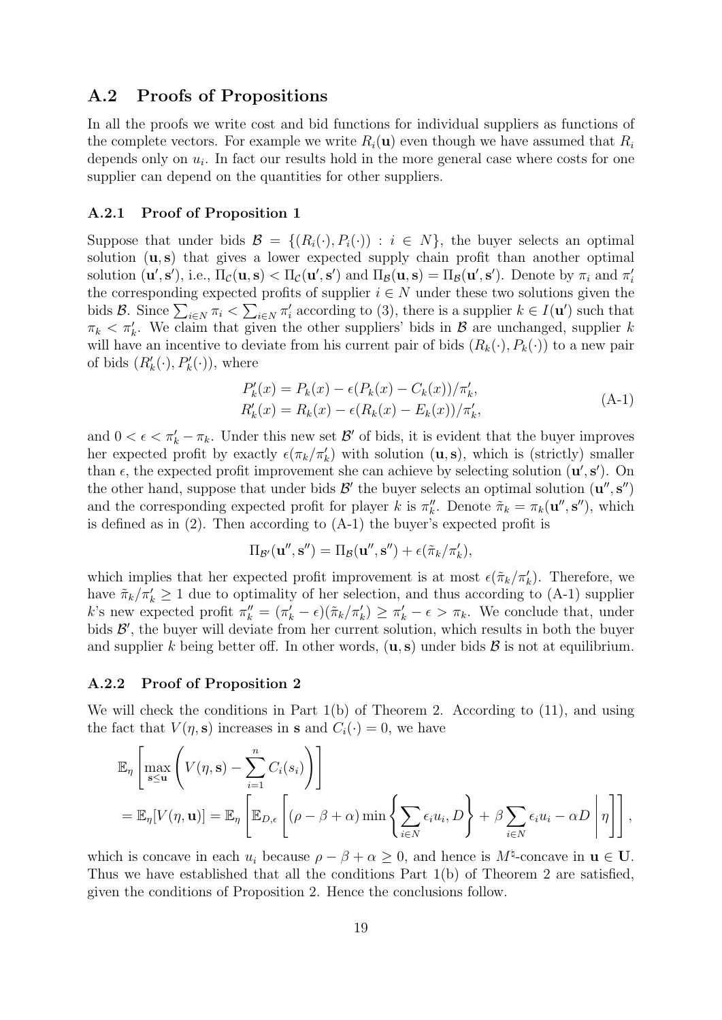# A.2 Proofs of Propositions

In all the proofs we write cost and bid functions for individual suppliers as functions of the complete vectors. For example we write  $R_i(\mathbf{u})$  even though we have assumed that  $R_i$ depends only on  $u_i$ . In fact our results hold in the more general case where costs for one supplier can depend on the quantities for other suppliers.

### A.2.1 Proof of Proposition 1

Suppose that under bids  $\mathcal{B} = \{(R_i(\cdot), P_i(\cdot)) : i \in N\}$ , the buyer selects an optimal solution  $(u, s)$  that gives a lower expected supply chain profit than another optimal solution  $(\mathbf{u}', \mathbf{s}')$ , i.e.,  $\Pi_{\mathcal{C}}(\mathbf{u}, \mathbf{s}) < \Pi_{\mathcal{C}}(\mathbf{u}', \mathbf{s}')$  and  $\Pi_{\mathcal{B}}(\mathbf{u}, \mathbf{s}) = \Pi_{\mathcal{B}}(\mathbf{u}', \mathbf{s}')$ . Denote by  $\pi_i$  and  $\pi'_i$ the corresponding expected profits of supplier  $i \in N$  under these two solutions given the bids B. Since  $\sum_{i\in N}\pi_i < \sum_{i\in N}\pi'_i$  according to (3), there is a supplier  $k\in I(\mathbf{u}')$  such that  $\pi_k < \pi'_k$ . We claim that given the other suppliers' bids in  $\mathcal B$  are unchanged, supplier k will have an incentive to deviate from his current pair of bids  $(R_k(\cdot), P_k(\cdot))$  to a new pair of bids  $(R'_k(\cdot), P'_k(\cdot))$ , where

$$
P'_{k}(x) = P_{k}(x) - \epsilon (P_{k}(x) - C_{k}(x))/\pi'_{k},
$$
  
\n
$$
R'_{k}(x) = R_{k}(x) - \epsilon (R_{k}(x) - E_{k}(x))/\pi'_{k},
$$
\n(A-1)

and  $0 < \epsilon < \pi'_k - \pi_k$ . Under this new set  $\mathcal{B}'$  of bids, it is evident that the buyer improves her expected profit by exactly  $\epsilon(\pi_k/\pi'_k)$  with solution  $(\mathbf{u}, \mathbf{s})$ , which is (strictly) smaller than  $\epsilon$ , the expected profit improvement she can achieve by selecting solution  $(\mathbf{u}', \mathbf{s}')$ . On the other hand, suppose that under bids  $\mathcal{B}'$  the buyer selects an optimal solution  $(\mathbf{u}'', \mathbf{s}'')$ and the corresponding expected profit for player k is  $\pi_k''$ . Denote  $\tilde{\pi}_k = \pi_k(\mathbf{u}'', \mathbf{s}'')$ , which is defined as in (2). Then according to (A-1) the buyer's expected profit is

$$
\Pi_{\mathcal{B}'}(\mathbf{u}'',\mathbf{s}'')=\Pi_{\mathcal{B}}(\mathbf{u}'',\mathbf{s}'')+\epsilon(\tilde{\pi}_k/\pi'_k),
$$

which implies that her expected profit improvement is at most  $\epsilon(\tilde{\pi}_k/\pi'_k)$ . Therefore, we have  $\tilde{\pi}_k/\pi'_k \geq 1$  due to optimality of her selection, and thus according to (A-1) supplier k's new expected profit  $\pi_k'' = (\pi_k' - \epsilon)(\tilde{\pi}_k / \pi_k') \ge \pi_k' - \epsilon > \pi_k$ . We conclude that, under bids  $\mathcal{B}'$ , the buyer will deviate from her current solution, which results in both the buyer and supplier k being better off. In other words,  $(\mathbf{u}, \mathbf{s})$  under bids  $\mathcal{B}$  is not at equilibrium.

### A.2.2 Proof of Proposition 2

We will check the conditions in Part  $1(b)$  of Theorem 2. According to  $(11)$ , and using the fact that  $V(\eta, \mathbf{s})$  increases in **s** and  $C_i(\cdot) = 0$ , we have

$$
\mathbb{E}_{\eta}\left[\max_{\mathbf{s}\leq\mathbf{u}}\left(V(\eta,\mathbf{s})-\sum_{i=1}^{n}C_{i}(s_{i})\right)\right]
$$
  
= 
$$
\mathbb{E}_{\eta}[V(\eta,\mathbf{u})]=\mathbb{E}_{\eta}\left[\mathbb{E}_{D,\epsilon}\left[(\rho-\beta+\alpha)\min\left\{\sum_{i\in N}\epsilon_{i}u_{i},D\right\}+\beta\sum_{i\in N}\epsilon_{i}u_{i}-\alpha D\right|\eta\right]\right],
$$

which is concave in each  $u_i$  because  $\rho - \beta + \alpha \geq 0$ , and hence is  $M^{\sharp}$ -concave in  $u \in U$ . Thus we have established that all the conditions Part 1(b) of Theorem 2 are satisfied, given the conditions of Proposition 2. Hence the conclusions follow.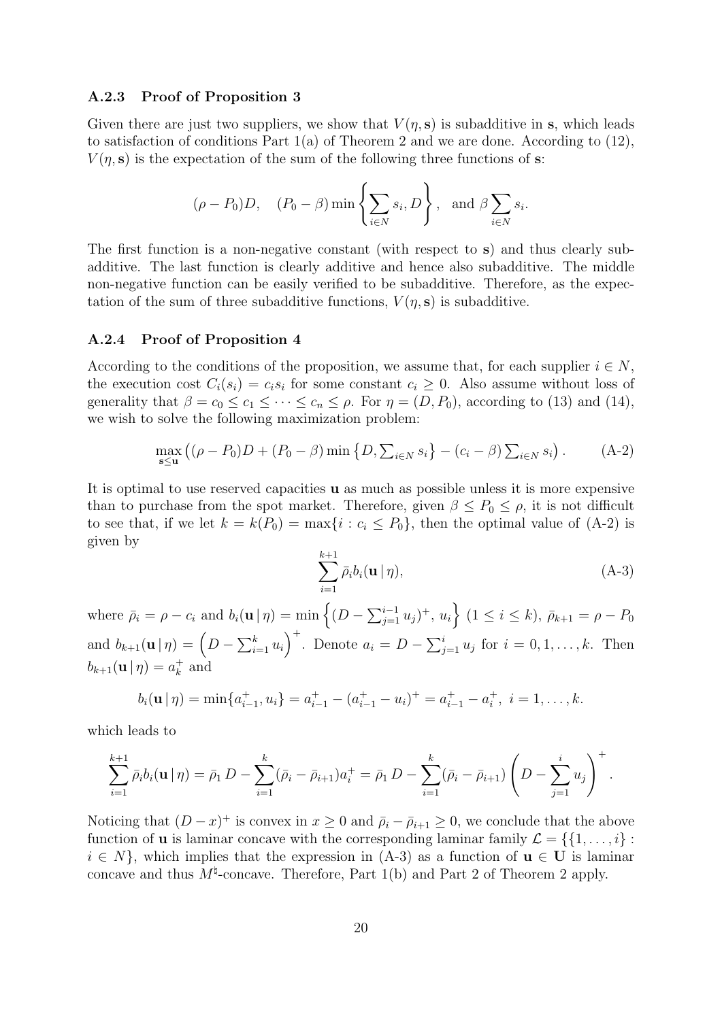#### A.2.3 Proof of Proposition 3

Given there are just two suppliers, we show that  $V(\eta, s)$  is subadditive in s, which leads to satisfaction of conditions Part  $1(a)$  of Theorem 2 and we are done. According to  $(12)$ ,  $V(\eta, s)$  is the expectation of the sum of the following three functions of s:

$$
(\rho - P_0)D
$$
,  $(P_0 - \beta) \min \left\{ \sum_{i \in N} s_i, D \right\}$ , and  $\beta \sum_{i \in N} s_i$ .

The first function is a non-negative constant (with respect to s) and thus clearly subadditive. The last function is clearly additive and hence also subadditive. The middle non-negative function can be easily verified to be subadditive. Therefore, as the expectation of the sum of three subadditive functions,  $V(\eta, s)$  is subadditive.

#### A.2.4 Proof of Proposition 4

According to the conditions of the proposition, we assume that, for each supplier  $i \in N$ , the execution cost  $C_i(s_i) = c_i s_i$  for some constant  $c_i \geq 0$ . Also assume without loss of generality that  $\beta = c_0 \leq c_1 \leq \cdots \leq c_n \leq \rho$ . For  $\eta = (D, P_0)$ , according to (13) and (14), we wish to solve the following maximization problem:

$$
\max_{\mathbf{s} \leq \mathbf{u}} ((\rho - P_0)D + (P_0 - \beta) \min \{ D, \sum_{i \in N} s_i \} - (c_i - \beta) \sum_{i \in N} s_i ).
$$
 (A-2)

It is optimal to use reserved capacities u as much as possible unless it is more expensive than to purchase from the spot market. Therefore, given  $\beta \leq P_0 \leq \rho$ , it is not difficult to see that, if we let  $k = k(P_0) = \max\{i : c_i \le P_0\}$ , then the optimal value of  $(A-2)$  is given by

$$
\sum_{i=1}^{k+1} \bar{\rho}_i b_i(\mathbf{u} | \eta), \tag{A-3}
$$

where  $\bar{\rho}_i = \rho - c_i$  and  $b_i(\mathbf{u} | \eta) = \min \left\{ (D - \sum_{j=1}^{i-1} u_j)^+, u_i \right\}$   $(1 \le i \le k), \bar{\rho}_{k+1} = \rho - P_0$ and  $b_{k+1}(\mathbf{u} \mid \eta) = \left(D - \sum_{i=1}^k u_i\right)^+$ . Denote  $a_i = D - \sum_{j=1}^i u_j$  for  $i = 0, 1, ..., k$ . Then  $b_{k+1}(\mathbf{u} \mid \eta) = a_k^+$  $_k^+$  and

$$
b_i(\mathbf{u} \mid \eta) = \min\{a_{i-1}^+, u_i\} = a_{i-1}^+ - (a_{i-1}^+ - u_i)^+ = a_{i-1}^+ - a_i^+, i = 1, \dots, k.
$$

which leads to

$$
\sum_{i=1}^{k+1} \bar{\rho}_i b_i(\mathbf{u} | \eta) = \bar{\rho}_1 D - \sum_{i=1}^k (\bar{\rho}_i - \bar{\rho}_{i+1}) a_i^+ = \bar{\rho}_1 D - \sum_{i=1}^k (\bar{\rho}_i - \bar{\rho}_{i+1}) \left( D - \sum_{j=1}^i u_j \right)^+.
$$

Noticing that  $(D-x)^+$  is convex in  $x \ge 0$  and  $\bar{\rho}_i - \bar{\rho}_{i+1} \ge 0$ , we conclude that the above function of **u** is laminar concave with the corresponding laminar family  $\mathcal{L} = \{\{1, \ldots, i\} :$  $i \in N$ , which implies that the expression in (A-3) as a function of  $u \in U$  is laminar concave and thus  $M^{\natural}$ -concave. Therefore, Part 1(b) and Part 2 of Theorem 2 apply.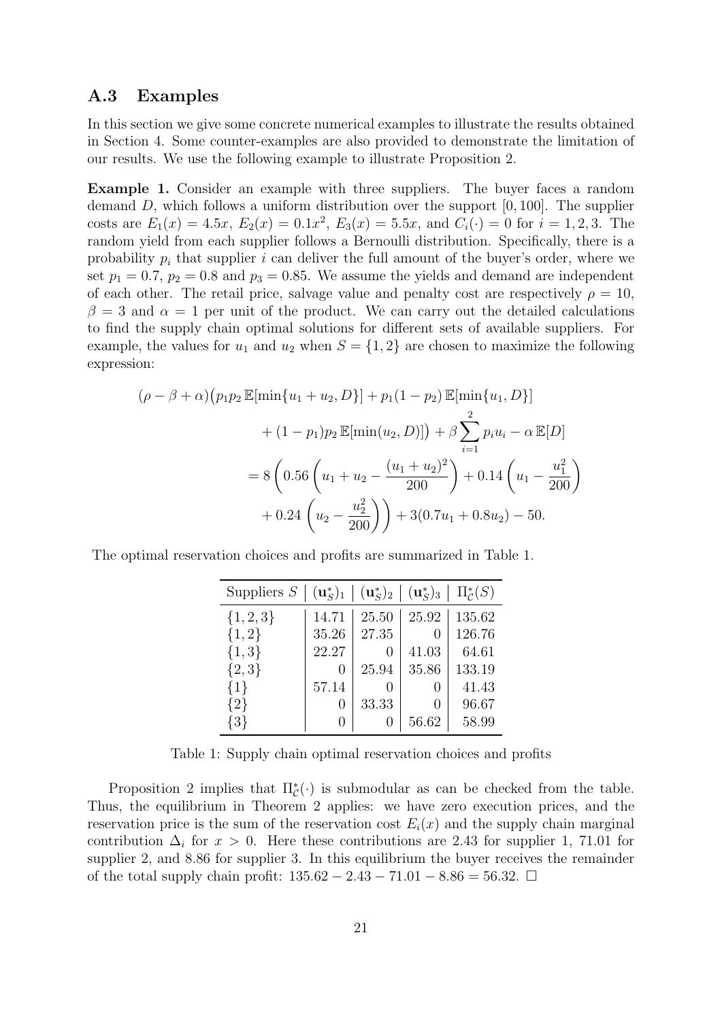# A.3 Examples

In this section we give some concrete numerical examples to illustrate the results obtained in Section 4. Some counter-examples are also provided to demonstrate the limitation of our results. We use the following example to illustrate Proposition 2.

Example 1. Consider an example with three suppliers. The buyer faces a random demand  $D$ , which follows a uniform distribution over the support  $[0, 100]$ . The supplier costs are  $E_1(x) = 4.5x$ ,  $E_2(x) = 0.1x^2$ ,  $E_3(x) = 5.5x$ , and  $C_i(\cdot) = 0$  for  $i = 1, 2, 3$ . The random yield from each supplier follows a Bernoulli distribution. Specifically, there is a probability  $p_i$  that supplier i can deliver the full amount of the buyer's order, where we set  $p_1 = 0.7$ ,  $p_2 = 0.8$  and  $p_3 = 0.85$ . We assume the yields and demand are independent of each other. The retail price, salvage value and penalty cost are respectively  $\rho = 10$ ,  $\beta = 3$  and  $\alpha = 1$  per unit of the product. We can carry out the detailed calculations to find the supply chain optimal solutions for different sets of available suppliers. For example, the values for  $u_1$  and  $u_2$  when  $S = \{1, 2\}$  are chosen to maximize the following expression:

$$
(\rho - \beta + \alpha) (p_1 p_2 \mathbb{E}[\min\{u_1 + u_2, D\}] + p_1 (1 - p_2) \mathbb{E}[\min\{u_1, D\}]
$$
  
+  $(1 - p_1) p_2 \mathbb{E}[\min(u_2, D)] + \beta \sum_{i=1}^2 p_i u_i - \alpha \mathbb{E}[D]$   
=  $8 \left( 0.56 \left( u_1 + u_2 - \frac{(u_1 + u_2)^2}{200} \right) + 0.14 \left( u_1 - \frac{u_1^2}{200} \right) + 0.24 \left( u_2 - \frac{u_2^2}{200} \right) \right) + 3(0.7u_1 + 0.8u_2) - 50.$ 

The optimal reservation choices and profits are summarized in Table 1.

| Suppliers $S$ | $\mid (\mathbf{u}_S^*)_1 \mid (\mathbf{u}_S^*)_2 \mid$ |       | $({\bf u}_S^*)_3$ | $\mid \Pi_{\mathcal{C}}^*(S)$ |
|---------------|--------------------------------------------------------|-------|-------------------|-------------------------------|
| $\{1, 2, 3\}$ | 14.71                                                  | 25.50 | 25.92             | 135.62                        |
| ${1,2}$       | 35.26                                                  | 27.35 | $\left( \right)$  | 126.76                        |
| $\{1,3\}$     | 22.27                                                  |       | 41.03             | 64.61                         |
| $\{2,3\}$     | $\mathbf{0}$                                           | 25.94 | 35.86             | 133.19                        |
| ${1}$         | 57.14                                                  |       | $\left( \right)$  | 41.43                         |
| ${2}$         |                                                        | 33.33 | $\left( \right)$  | 96.67                         |
| {3}           |                                                        |       | 56.62             | 58.99                         |

Table 1: Supply chain optimal reservation choices and profits

Proposition 2 implies that  $\Pi_{\mathcal{C}}^*$  is submodular as can be checked from the table. Thus, the equilibrium in Theorem 2 applies: we have zero execution prices, and the reservation price is the sum of the reservation cost  $E_i(x)$  and the supply chain marginal contribution  $\Delta_i$  for  $x > 0$ . Here these contributions are 2.43 for supplier 1, 71.01 for supplier 2, and 8.86 for supplier 3. In this equilibrium the buyer receives the remainder of the total supply chain profit:  $135.62 - 2.43 - 71.01 - 8.86 = 56.32$ . □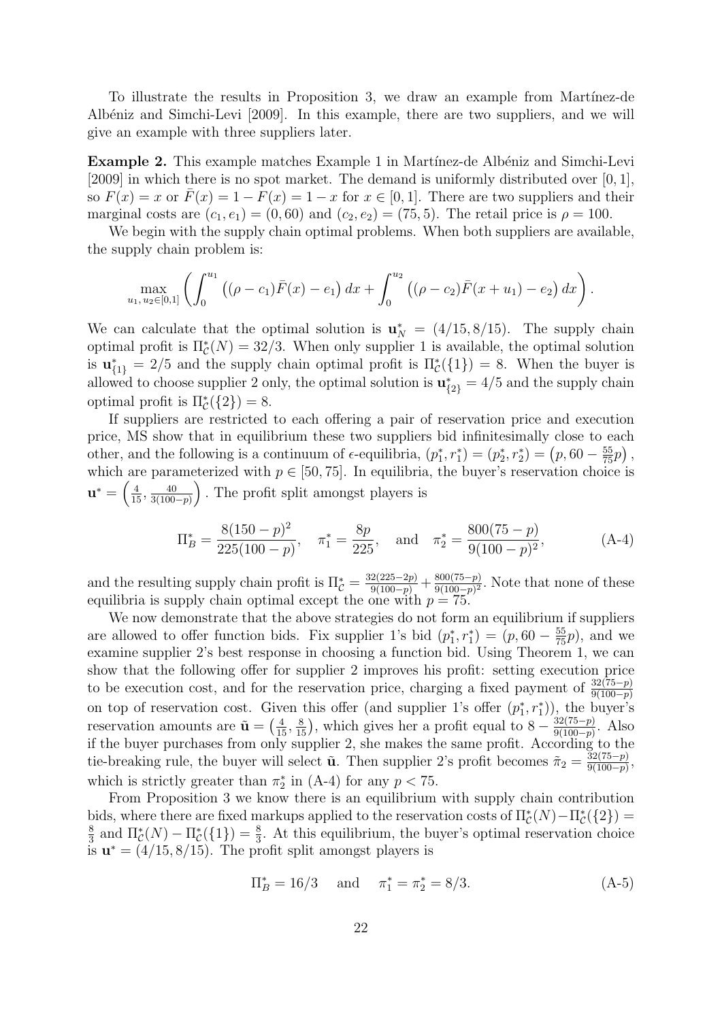To illustrate the results in Proposition 3, we draw an example from Martínez-de Albéniz and Simchi-Levi [2009]. In this example, there are two suppliers, and we will give an example with three suppliers later.

**Example 2.** This example matches Example 1 in Martínez-de Albéniz and Simchi-Levi [2009] in which there is no spot market. The demand is uniformly distributed over [0, 1], so  $F(x) = x$  or  $\overline{F}(x) = 1 - F(x) = 1 - x$  for  $x \in [0, 1]$ . There are two suppliers and their marginal costs are  $(c_1, e_1) = (0, 60)$  and  $(c_2, e_2) = (75, 5)$ . The retail price is  $\rho = 100$ .

We begin with the supply chain optimal problems. When both suppliers are available, the supply chain problem is:

$$
\max_{u_1, u_2 \in [0,1]} \left( \int_0^{u_1} \left( (\rho - c_1) \bar{F}(x) - e_1 \right) dx + \int_0^{u_2} \left( (\rho - c_2) \bar{F}(x + u_1) - e_2 \right) dx \right).
$$

We can calculate that the optimal solution is  $\mathbf{u}_N^* = (4/15, 8/15)$ . The supply chain optimal profit is  $\Pi_{\mathcal{C}}^*(N) = 32/3$ . When only supplier 1 is available, the optimal solution is  $\mathbf{u}_{\{1\}}^* = 2/5$  and the supply chain optimal profit is  $\Pi_{\mathcal{C}}^*(\{1\}) = 8$ . When the buyer is allowed to choose supplier 2 only, the optimal solution is  $\mathbf{u}_{\{2\}}^* = 4/5$  and the supply chain optimal profit is  $\Pi_{\mathcal{C}}^*(\{2\})=8.$ 

If suppliers are restricted to each offering a pair of reservation price and execution price, MS show that in equilibrium these two suppliers bid infinitesimally close to each other, and the following is a continuum of  $\epsilon$ -equilibria,  $(p_1^*, r_1^*) = (p_2^*, r_2^*) = (p, 60 - \frac{55}{75}p)$ , which are parameterized with  $p \in [50, 75]$ . In equilibria, the buyer's reservation choice is  $\mathbf{u}^* = \Big(\frac{4}{15}, \frac{40}{3(100)}\Big)$  $\frac{40}{3(100-p)}$ . The profit split amongst players is

$$
\Pi_B^* = \frac{8(150 - p)^2}{225(100 - p)}, \quad \pi_1^* = \frac{8p}{225}, \quad \text{and} \quad \pi_2^* = \frac{800(75 - p)}{9(100 - p)^2},\tag{A-4}
$$

and the resulting supply chain profit is  $\Pi_c^* = \frac{32(225-2p)}{9(100-p)} + \frac{800(75-p)}{9(100-p)^2}$  $rac{800(75-p)}{9(100-p)^2}$ . Note that none of these equilibria is supply chain optimal except the one with  $p = 75$ .

We now demonstrate that the above strategies do not form an equilibrium if suppliers are allowed to offer function bids. Fix supplier 1's bid  $(p_1^*, r_1^*) = (p, 60 - \frac{55}{75}p)$ , and we examine supplier 2's best response in choosing a function bid. Using Theorem 1, we can show that the following offer for supplier 2 improves his profit: setting execution price to be execution cost, and for the reservation price, charging a fixed payment of  $\frac{32(75-p)}{9(100-p)}$ on top of reservation cost. Given this offer (and supplier 1's offer  $(p_1^*, r_1^*)$ ), the buyer's reservation amounts are  $\tilde{\mathbf{u}} = \left(\frac{4}{15}, \frac{8}{15}\right)$ , which gives her a profit equal to  $8 - \frac{32(75-p)}{9(100-p)}$  $\frac{32(75-p)}{9(100-p)}$ . Also if the buyer purchases from only supplier 2, she makes the same profit. According to the tie-breaking rule, the buyer will select  $\tilde{\mathbf{u}}$ . Then supplier 2's profit becomes  $\tilde{\pi}_2 = \frac{32(75-p)}{9(100-p)}$  $\frac{32(75-p)}{9(100-p)},$ which is strictly greater than  $\pi_2^*$  in (A-4) for any  $p < 75$ .

From Proposition 3 we know there is an equilibrium with supply chain contribution bids, where there are fixed markups applied to the reservation costs of  $\Pi^*_{\mathcal{C}}(N) - \Pi^*_{\mathcal{C}}(\{2\}) =$ 8  $\frac{8}{3}$  and  $\Pi^*_{\mathcal{C}}(N) - \Pi^*_{\mathcal{C}}(\{1\}) = \frac{8}{3}$ . At this equilibrium, the buyer's optimal reservation choice is  $\mathbf{u}^* = (4/15, 8/15)$ . The profit split amongst players is

$$
\Pi_B^* = 16/3 \quad \text{and} \quad \pi_1^* = \pi_2^* = 8/3. \tag{A-5}
$$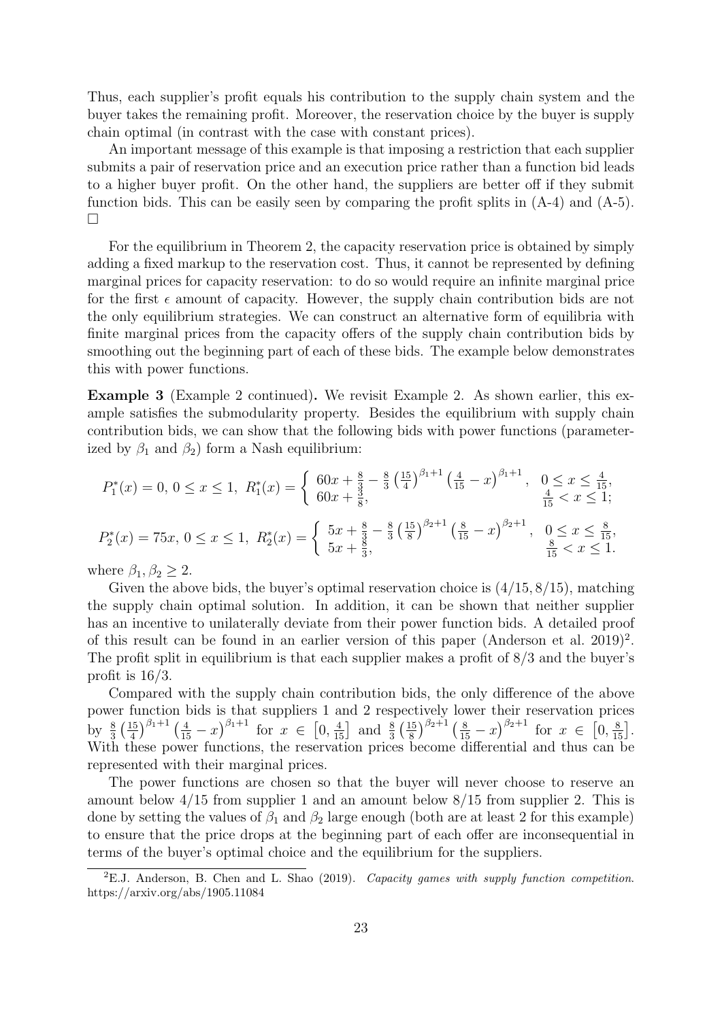Thus, each supplier's profit equals his contribution to the supply chain system and the buyer takes the remaining profit. Moreover, the reservation choice by the buyer is supply chain optimal (in contrast with the case with constant prices).

An important message of this example is that imposing a restriction that each supplier submits a pair of reservation price and an execution price rather than a function bid leads to a higher buyer profit. On the other hand, the suppliers are better off if they submit function bids. This can be easily seen by comparing the profit splits in (A-4) and (A-5).  $\Box$ 

For the equilibrium in Theorem 2, the capacity reservation price is obtained by simply adding a fixed markup to the reservation cost. Thus, it cannot be represented by defining marginal prices for capacity reservation: to do so would require an infinite marginal price for the first  $\epsilon$  amount of capacity. However, the supply chain contribution bids are not the only equilibrium strategies. We can construct an alternative form of equilibria with finite marginal prices from the capacity offers of the supply chain contribution bids by smoothing out the beginning part of each of these bids. The example below demonstrates this with power functions.

Example 3 (Example 2 continued). We revisit Example 2. As shown earlier, this example satisfies the submodularity property. Besides the equilibrium with supply chain contribution bids, we can show that the following bids with power functions (parameterized by  $\beta_1$  and  $\beta_2$ ) form a Nash equilibrium:

$$
P_1^*(x) = 0, \ 0 \le x \le 1, \ R_1^*(x) = \begin{cases} 60x + \frac{8}{3} - \frac{8}{3} \left(\frac{15}{4}\right)^{\beta_1 + 1} \left(\frac{4}{15} - x\right)^{\beta_1 + 1}, & 0 \le x \le \frac{4}{15}, \\ 60x + \frac{3}{8}, & \frac{4}{15} < x \le 1; \end{cases}
$$
\n
$$
P_2^*(x) = 75x, \ 0 \le x \le 1, \ R_2^*(x) = \begin{cases} 5x + \frac{8}{3} - \frac{8}{3} \left(\frac{15}{8}\right)^{\beta_2 + 1} \left(\frac{8}{15} - x\right)^{\beta_2 + 1}, & 0 \le x \le \frac{8}{15}, \\ 5x + \frac{8}{3}, & \frac{8}{15} < x \le 1. \end{cases}
$$

where  $\beta_1, \beta_2 \geq 2$ .

Given the above bids, the buyer's optimal reservation choice is  $(4/15, 8/15)$ , matching the supply chain optimal solution. In addition, it can be shown that neither supplier has an incentive to unilaterally deviate from their power function bids. A detailed proof of this result can be found in an earlier version of this paper (Anderson et al.  $2019$ )<sup>2</sup>. The profit split in equilibrium is that each supplier makes a profit of 8/3 and the buyer's profit is 16/3.

Compared with the supply chain contribution bids, the only difference of the above power function bids is that suppliers 1 and 2 respectively lower their reservation prices by  $\frac{8}{3}(\frac{15}{4})$  $\left[\frac{15}{4}\right]^{\beta_1+1}\left(\frac{4}{15}-x\right)^{\beta_1+1}$  for  $x \in \left[0, \frac{4}{15}\right]$  and  $\frac{8}{3}\left(\frac{15}{8}\right)$  $\frac{15}{8}\big)^{\beta_2+1}\left(\frac{8}{15}-x\right)^{\beta_2+1}$  for  $x \in [0, \frac{8}{15}].$ With these power functions, the reservation prices become differential and thus can be represented with their marginal prices.

The power functions are chosen so that the buyer will never choose to reserve an amount below  $4/15$  from supplier 1 and an amount below  $8/15$  from supplier 2. This is done by setting the values of  $\beta_1$  and  $\beta_2$  large enough (both are at least 2 for this example) to ensure that the price drops at the beginning part of each offer are inconsequential in terms of the buyer's optimal choice and the equilibrium for the suppliers.

 ${}^{2}E$ .J. Anderson, B. Chen and L. Shao (2019). Capacity games with supply function competition. https://arxiv.org/abs/1905.11084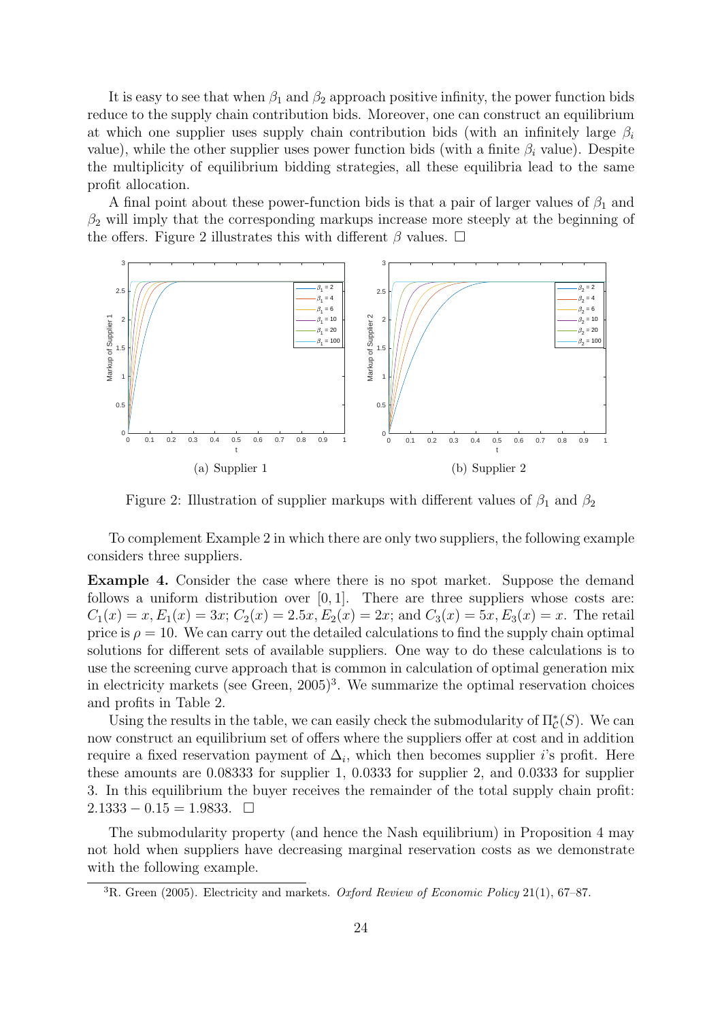It is easy to see that when  $\beta_1$  and  $\beta_2$  approach positive infinity, the power function bids reduce to the supply chain contribution bids. Moreover, one can construct an equilibrium at which one supplier uses supply chain contribution bids (with an infinitely large  $\beta_i$ value), while the other supplier uses power function bids (with a finite  $\beta_i$  value). Despite the multiplicity of equilibrium bidding strategies, all these equilibria lead to the same profit allocation.

A final point about these power-function bids is that a pair of larger values of  $\beta_1$  and  $\beta_2$  will imply that the corresponding markups increase more steeply at the beginning of the offers. Figure 2 illustrates this with different  $\beta$  values.  $\Box$ 



Figure 2: Illustration of supplier markups with different values of  $\beta_1$  and  $\beta_2$ 

To complement Example 2 in which there are only two suppliers, the following example considers three suppliers.

Example 4. Consider the case where there is no spot market. Suppose the demand follows a uniform distribution over  $[0, 1]$ . There are three suppliers whose costs are:  $C_1(x) = x, E_1(x) = 3x; C_2(x) = 2.5x, E_2(x) = 2x;$  and  $C_3(x) = 5x, E_3(x) = x$ . The retail price is  $\rho = 10$ . We can carry out the detailed calculations to find the supply chain optimal solutions for different sets of available suppliers. One way to do these calculations is to use the screening curve approach that is common in calculation of optimal generation mix in electricity markets (see Green,  $2005$ )<sup>3</sup>. We summarize the optimal reservation choices and profits in Table 2.

Using the results in the table, we can easily check the submodularity of  $\Pi_{\mathcal{C}}^{*}(S)$ . We can now construct an equilibrium set of offers where the suppliers offer at cost and in addition require a fixed reservation payment of  $\Delta_i$ , which then becomes supplier *i*'s profit. Here these amounts are 0.08333 for supplier 1, 0.0333 for supplier 2, and 0.0333 for supplier 3. In this equilibrium the buyer receives the remainder of the total supply chain profit:  $2.1333 - 0.15 = 1.9833. \square$ 

The submodularity property (and hence the Nash equilibrium) in Proposition 4 may not hold when suppliers have decreasing marginal reservation costs as we demonstrate with the following example.

<sup>&</sup>lt;sup>3</sup>R. Green (2005). Electricity and markets. Oxford Review of Economic Policy 21(1), 67–87.